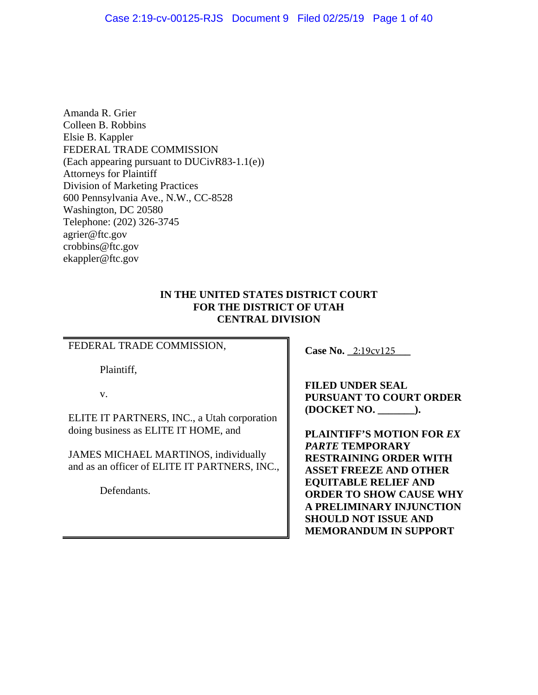<span id="page-0-0"></span>Amanda R. Grier Colleen B. Robbins Elsie B. Kappler FEDERAL TRADE COMMISSION (Each appearing pursuant to DUCivR83-1.1(e)) Attorneys for Plaintiff Division of Marketing Practices 600 Pennsylvania Ave., N.W., CC-8528 Washington, DC 20580 Telephone: (202) 326-3745 agrier@ftc.gov crobbins@ftc.gov ekappler@ftc.gov

# **IN THE UNITED STATES DISTRICT COURT FOR THE DISTRICT OF UTAH CENTRAL DIVISION**

# FEDERAL TRADE COMMISSION,

Plaintiff,

v.

ELITE IT PARTNERS, INC., a Utah corporation doing business as ELITE IT HOME, and

JAMES MICHAEL MARTINOS, individually and as an officer of ELITE IT PARTNERS, INC.,

Defendants.

**Case No.** 2:19cv125

**FILED UNDER SEAL FURSUANT TO COURT ORDER (DOCKET NO. \_\_\_\_\_\_\_).** 

**PLAINTIFF'S MOTION FOR** *EX PARTE* **TEMPORARY RESTRAINING ORDER WITH ASSET FREEZE AND OTHER EQUITABLE RELIEF AND ORDER TO SHOW CAUSE WHY A PRELIMINARY INJUNCTION SHOULD NOT ISSUE AND MEMORANDUM IN SUPPORT**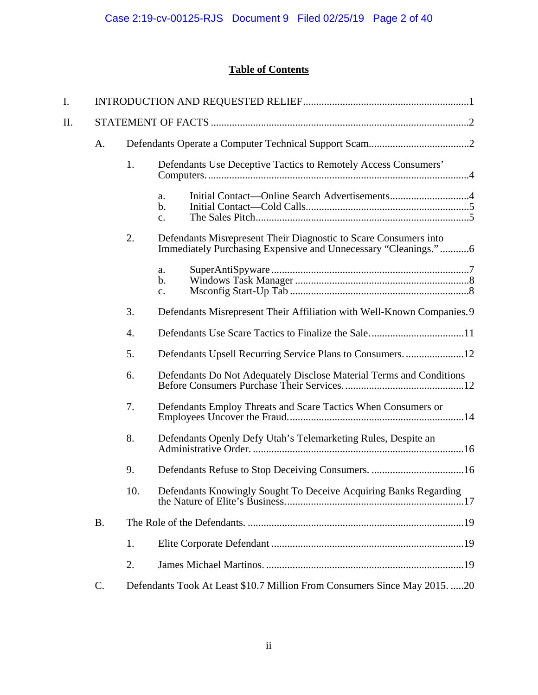# **Table of Contents**

| I.       |           |     |                                                                            |  |  |  |  |
|----------|-----------|-----|----------------------------------------------------------------------------|--|--|--|--|
| Π.       |           |     |                                                                            |  |  |  |  |
|          | A.        |     |                                                                            |  |  |  |  |
|          |           | 1.  | Defendants Use Deceptive Tactics to Remotely Access Consumers'             |  |  |  |  |
|          |           |     | Initial Contact—Online Search Advertisements4<br>a.<br>$\mathbf b$ .<br>c. |  |  |  |  |
|          |           | 2.  | Defendants Misrepresent Their Diagnostic to Scare Consumers into           |  |  |  |  |
|          |           |     | a.<br>b.<br>$\mathbf{c}$ .                                                 |  |  |  |  |
|          |           | 3.  | Defendants Misrepresent Their Affiliation with Well-Known Companies. 9     |  |  |  |  |
|          | 4.        |     |                                                                            |  |  |  |  |
|          |           | 5.  | Defendants Upsell Recurring Service Plans to Consumers12                   |  |  |  |  |
|          |           | 6.  | Defendants Do Not Adequately Disclose Material Terms and Conditions        |  |  |  |  |
|          | 7.        |     | Defendants Employ Threats and Scare Tactics When Consumers or              |  |  |  |  |
| 8.<br>9. |           |     | Defendants Openly Defy Utah's Telemarketing Rules, Despite an              |  |  |  |  |
|          |           |     |                                                                            |  |  |  |  |
|          |           | 10. | Defendants Knowingly Sought To Deceive Acquiring Banks Regarding           |  |  |  |  |
|          | <b>B.</b> |     |                                                                            |  |  |  |  |
|          |           | 1.  |                                                                            |  |  |  |  |
|          |           | 2.  |                                                                            |  |  |  |  |
|          | C.        |     | Defendants Took At Least \$10.7 Million From Consumers Since May 2015. 20  |  |  |  |  |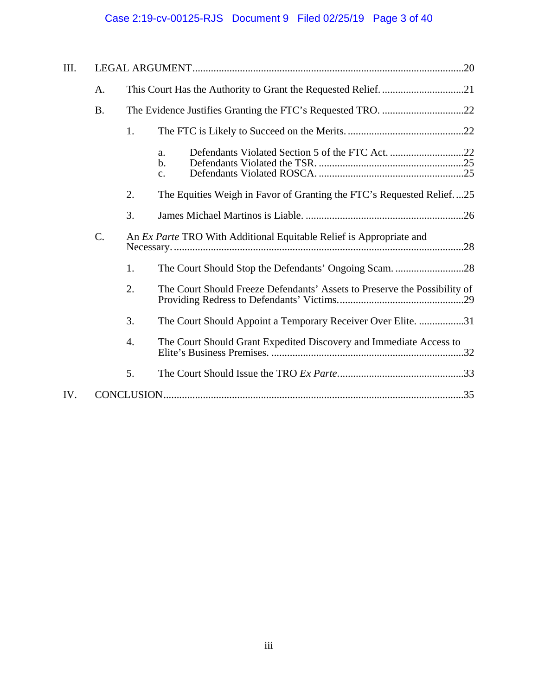# Case 2:19-cv-00125-RJS Document 9 Filed 02/25/19 Page 3 of 40

| III. |           |    |                                                                            |  |  |
|------|-----------|----|----------------------------------------------------------------------------|--|--|
|      | A.        |    |                                                                            |  |  |
|      | <b>B.</b> |    |                                                                            |  |  |
|      |           | 1. |                                                                            |  |  |
|      |           |    | a.<br>$\mathbf b$ .<br>c.                                                  |  |  |
|      |           | 2. | The Equities Weigh in Favor of Granting the FTC's Requested Relief25       |  |  |
|      |           | 3. |                                                                            |  |  |
|      | $C$ .     |    | An <i>Ex Parte</i> TRO With Additional Equitable Relief is Appropriate and |  |  |
|      |           | 1. | The Court Should Stop the Defendants' Ongoing Scam. 28                     |  |  |
|      |           | 2. | The Court Should Freeze Defendants' Assets to Preserve the Possibility of  |  |  |
|      |           | 3. | The Court Should Appoint a Temporary Receiver Over Elite. 31               |  |  |
|      |           | 4. | The Court Should Grant Expedited Discovery and Immediate Access to         |  |  |
|      |           | 5. |                                                                            |  |  |
| IV.  |           |    |                                                                            |  |  |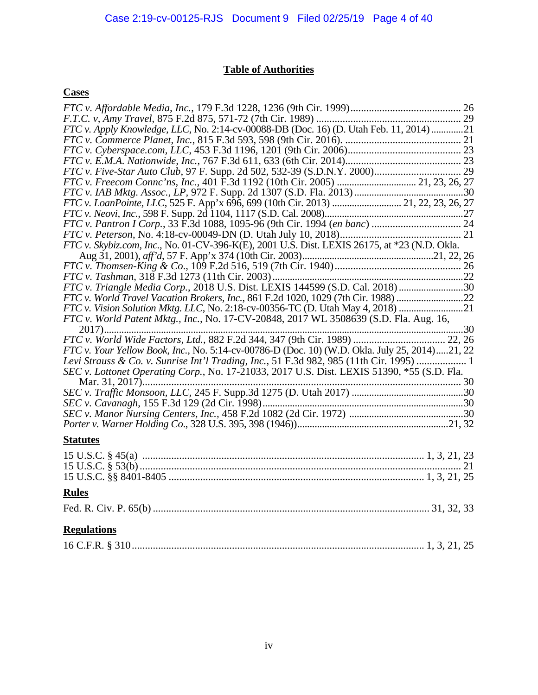# **Table of Authorities**

# **Cases**

| FTC v. Apply Knowledge, LLC, No. 2:14-cv-00088-DB (Doc. 16) (D. Utah Feb. 11, 2014)21         |
|-----------------------------------------------------------------------------------------------|
|                                                                                               |
|                                                                                               |
|                                                                                               |
|                                                                                               |
| FTC v. Freecom Connc'ns, Inc., 401 F.3d 1192 (10th Cir. 2005)  21, 23, 26, 27                 |
|                                                                                               |
| FTC v. LoanPointe, LLC, 525 F. App'x 696, 699 (10th Cir. 2013)  21, 22, 23, 26, 27            |
|                                                                                               |
|                                                                                               |
|                                                                                               |
| FTC v. Skybiz.com, Inc., No. 01-CV-396-K(E), 2001 U.S. Dist. LEXIS 26175, at *23 (N.D. Okla.  |
|                                                                                               |
|                                                                                               |
|                                                                                               |
| FTC v. Triangle Media Corp., 2018 U.S. Dist. LEXIS 144599 (S.D. Cal. 2018)                    |
| FTC v. World Travel Vacation Brokers, Inc., 861 F.2d 1020, 1029 (7th Cir. 1988) 22            |
| FTC v. Vision Solution Mktg. LLC, No. 2:18-cv-00356-TC (D. Utah May 4, 2018) 21               |
| FTC v. World Patent Mktg., Inc., No. 17-CV-20848, 2017 WL 3508639 (S.D. Fla. Aug. 16,         |
|                                                                                               |
| FTC v. World Wide Factors, Ltd., 882 F.2d 344, 347 (9th Cir. 1989)  22, 26                    |
| FTC v. Your Yellow Book, Inc., No. 5:14-cv-00786-D (Doc. 10) (W.D. Okla. July 25, 2014)21, 22 |
| Levi Strauss & Co. v. Sunrise Int'l Trading, Inc., 51 F.3d 982, 985 (11th Cir. 1995)  1       |
| SEC v. Lottonet Operating Corp., No. 17-21033, 2017 U.S. Dist. LEXIS 51390, *55 (S.D. Fla.    |
|                                                                                               |
|                                                                                               |
|                                                                                               |
|                                                                                               |
|                                                                                               |
| <b>Statutes</b>                                                                               |
|                                                                                               |
|                                                                                               |
|                                                                                               |

# **Rules**

|--|--|--|

# **Regulations**

|--|--|--|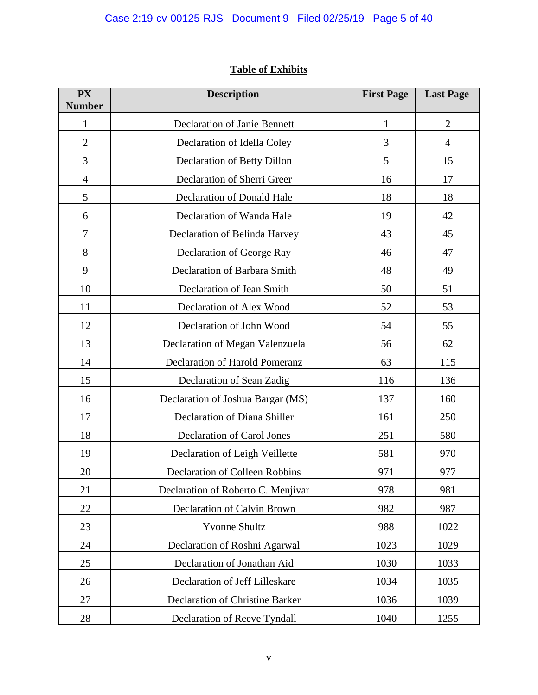# **Table of Exhibits**

| <b>PX</b><br><b>Number</b> | <b>Description</b>                    | <b>First Page</b> | <b>Last Page</b> |
|----------------------------|---------------------------------------|-------------------|------------------|
| $\mathbf{1}$               | <b>Declaration of Janie Bennett</b>   | $\mathbf{1}$      | $\overline{2}$   |
| $\overline{2}$             | Declaration of Idella Coley           | $\mathfrak{Z}$    | $\overline{4}$   |
| 3                          | Declaration of Betty Dillon           | 5                 | 15               |
| $\overline{4}$             | Declaration of Sherri Greer           | 16                | 17               |
| 5                          | Declaration of Donald Hale            | 18                | 18               |
| 6                          | Declaration of Wanda Hale             | 19                | 42               |
| 7                          | Declaration of Belinda Harvey         | 43                | 45               |
| 8                          | Declaration of George Ray             | 46                | 47               |
| 9                          | Declaration of Barbara Smith          | 48                | 49               |
| 10                         | Declaration of Jean Smith             | 50                | 51               |
| 11                         | Declaration of Alex Wood              | 52                | 53               |
| 12                         | Declaration of John Wood              | 54                | 55               |
| 13                         | Declaration of Megan Valenzuela       | 56                | 62               |
| 14                         | Declaration of Harold Pomeranz        | 63                | 115              |
| 15                         | Declaration of Sean Zadig             | 116               | 136              |
| 16                         | Declaration of Joshua Bargar (MS)     | 137               | 160              |
| 17                         | Declaration of Diana Shiller          | 161               | 250              |
| 18                         | Declaration of Carol Jones            | 251               | 580              |
| 19                         | Declaration of Leigh Veillette        | 581               | 970              |
| 20                         | <b>Declaration of Colleen Robbins</b> | 971               | 977              |
| 21                         | Declaration of Roberto C. Menjivar    | 978               | 981              |
| 22                         | Declaration of Calvin Brown           | 982               | 987              |
| 23                         | <b>Yvonne Shultz</b>                  | 988               | 1022             |
| 24                         | Declaration of Roshni Agarwal         | 1023              | 1029             |
| 25                         | Declaration of Jonathan Aid           | 1030              | 1033             |
| 26                         | Declaration of Jeff Lilleskare        | 1034              | 1035             |
| 27                         | Declaration of Christine Barker       | 1036              | 1039             |
| 28                         | Declaration of Reeve Tyndall          | 1040              | 1255             |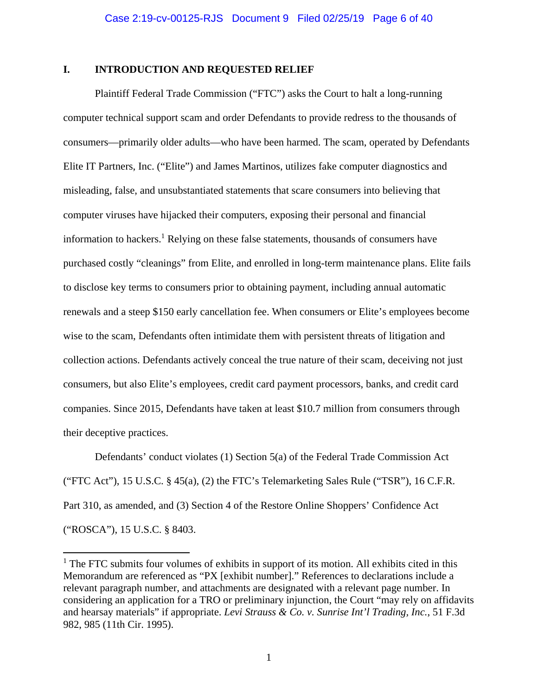# <span id="page-5-0"></span>**I. INTRODUCTION AND REQUESTED RELIEF**

Plaintiff Federal Trade Commission ("FTC") asks the Court to halt a long-running computer technical support scam and order Defendants to provide redress to the thousands of consumers—primarily older adults—who have been harmed. The scam, operated by Defendants Elite IT Partners, Inc. ("Elite") and James Martinos, utilizes fake computer diagnostics and misleading, false, and unsubstantiated statements that scare consumers into believing that computer viruses have hijacked their computers, exposing their personal and financial information to hackers.<sup>1</sup> Relying on these false statements, thousands of consumers have purchased costly "cleanings" from Elite, and enrolled in long-term maintenance plans. Elite fails to disclose key terms to consumers prior to obtaining payment, including annual automatic renewals and a steep \$150 early cancellation fee. When consumers or Elite's employees become wise to the scam, Defendants often intimidate them with persistent threats of litigation and collection actions. Defendants actively conceal the true nature of their scam, deceiving not just consumers, but also Elite's employees, credit card payment processors, banks, and credit card companies. Since 2015, Defendants have taken at least \$10.7 million from consumers through their deceptive practices.

Defendants' conduct violates (1) Section 5(a) of the Federal Trade Commission Act ("FTC Act"), 15 U.S.C. § 45(a), (2) the FTC's Telemarketing Sales Rule ("TSR"), 16 C.F.R. Part 310, as amended, and (3) Section 4 of the Restore Online Shoppers' Confidence Act ("ROSCA"), 15 U.S.C. § 8403.

<sup>&</sup>lt;sup>1</sup> The FTC submits four volumes of exhibits in support of its motion. All exhibits cited in this Memorandum are referenced as "PX [exhibit number]." References to declarations include a relevant paragraph number, and attachments are designated with a relevant page number. In considering an application for a TRO or preliminary injunction, the Court "may rely on affidavits and hearsay materials" if appropriate. *Levi Strauss & Co. v. Sunrise Int'l Trading, Inc.*, 51 F.3d 982, 985 (11th Cir. 1995).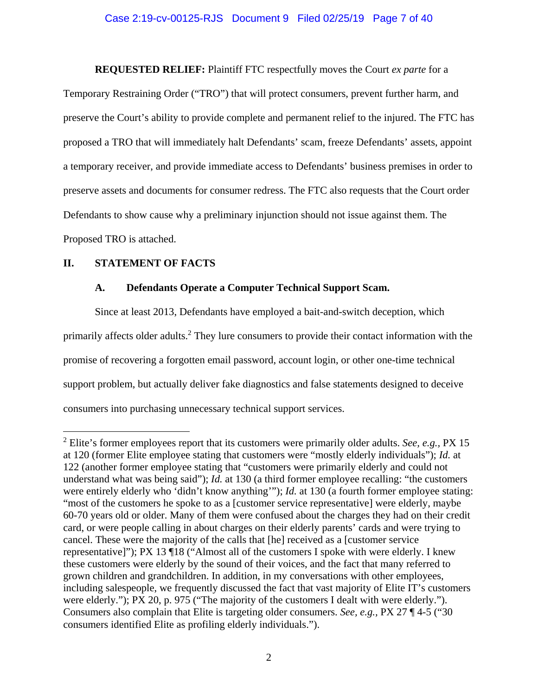**REQUESTED RELIEF:** Plaintiff FTC respectfully moves the Court *ex parte* for a

Temporary Restraining Order ("TRO") that will protect consumers, prevent further harm, and preserve the Court's ability to provide complete and permanent relief to the injured. The FTC has proposed a TRO that will immediately halt Defendants' scam, freeze Defendants' assets, appoint a temporary receiver, and provide immediate access to Defendants' business premises in order to preserve assets and documents for consumer redress. The FTC also requests that the Court order Defendants to show cause why a preliminary injunction should not issue against them. The Proposed TRO is attached.

# **II. STATEMENT OF FACTS**

 $\overline{a}$ 

# **A. Defendants Operate a Computer Technical Support Scam.**

Since at least 2013, Defendants have employed a bait-and-switch deception, which primarily affects older adults.<sup>2</sup> They lure consumers to provide their contact information with the promise of recovering a forgotten email password, account login, or other one-time technical support problem, but actually deliver fake diagnostics and false statements designed to deceive consumers into purchasing unnecessary technical support services.

<sup>2</sup> Elite's former employees report that its customers were primarily older adults. *See, e.g.,* PX 15 at 120 (former Elite employee stating that customers were "mostly elderly individuals"); *Id.* at 122 (another former employee stating that "customers were primarily elderly and could not understand what was being said"); *Id.* at 130 (a third former employee recalling: "the customers were entirely elderly who 'didn't know anything'"); *Id.* at 130 (a fourth former employee stating: "most of the customers he spoke to as a [customer service representative] were elderly, maybe 60-70 years old or older. Many of them were confused about the charges they had on their credit card, or were people calling in about charges on their elderly parents' cards and were trying to cancel. These were the majority of the calls that [he] received as a [customer service representative]"); PX 13 ¶18 ("Almost all of the customers I spoke with were elderly. I knew these customers were elderly by the sound of their voices, and the fact that many referred to grown children and grandchildren. In addition, in my conversations with other employees, including salespeople, we frequently discussed the fact that vast majority of Elite IT's customers were elderly."); PX 20, p. 975 ("The majority of the customers I dealt with were elderly."). Consumers also complain that Elite is targeting older consumers. *See, e.g.,* PX 27 ¶ 4-5 ("30 consumers identified Elite as profiling elderly individuals.").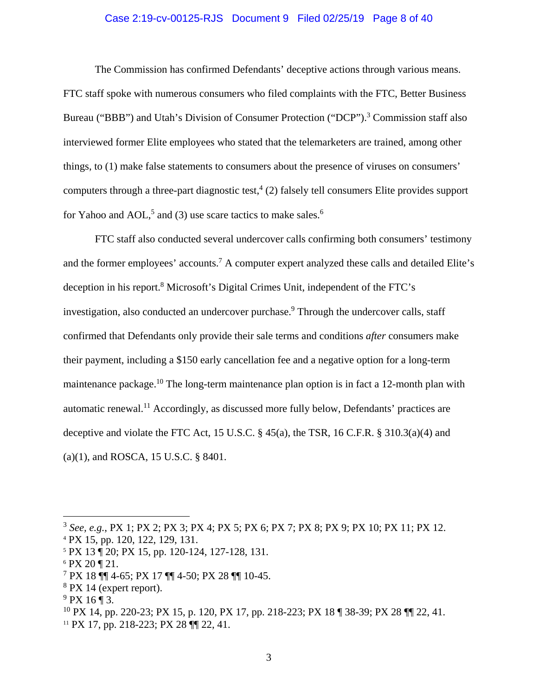#### Case 2:19-cv-00125-RJS Document 9 Filed 02/25/19 Page 8 of 40

for Yahoo and AOL,<sup>5</sup> and (3) use scare tactics to make sales.<sup>6</sup> The Commission has confirmed Defendants' deceptive actions through various means. FTC staff spoke with numerous consumers who filed complaints with the FTC, Better Business Bureau ("BBB") and Utah's Division of Consumer Protection ("DCP").<sup>3</sup> Commission staff also interviewed former Elite employees who stated that the telemarketers are trained, among other things, to (1) make false statements to consumers about the presence of viruses on consumers' computers through a three-part diagnostic test,  $4(2)$  falsely tell consumers Elite provides support

FTC staff also conducted several undercover calls confirming both consumers' testimony and the former employees' accounts.<sup>7</sup> A computer expert analyzed these calls and detailed Elite's deception in his report.<sup>8</sup> Microsoft's Digital Crimes Unit, independent of the FTC's investigation, also conducted an undercover purchase.<sup>9</sup> Through the undercover calls, staff confirmed that Defendants only provide their sale terms and conditions *after* consumers make their payment, including a \$150 early cancellation fee and a negative option for a long-term maintenance package.<sup>10</sup> The long-term maintenance plan option is in fact a 12-month plan with automatic renewal.11 Accordingly, as discussed more fully below, Defendants' practices are deceptive and violate the FTC Act, 15 U.S.C. § 45(a), the TSR, 16 C.F.R. § 310.3(a)(4) and (a)(1), and ROSCA, 15 U.S.C. § 8401.

<sup>3</sup>*See, e.g.*, PX 1; PX 2; PX 3; PX 4; PX 5; PX 6; PX 7; PX 8; PX 9; PX 10; PX 11; PX 12. 4

PX 15, pp. 120, 122, 129, 131.

<sup>5</sup> PX 13 ¶ 20; PX 15, pp. 120-124, 127-128, 131.

 $6$  PX 20 ¶ 21.

<sup>7</sup> PX 18 ¶¶ 4-65; PX 17 ¶¶ 4-50; PX 28 ¶¶ 10-45.

 $8$  PX 14 (expert report).

 $9$  PX 16 ¶ 3.

<sup>10</sup> PX 14, pp. 220-23; PX 15, p. 120, PX 17, pp. 218-223; PX 18 ¶ 38-39; PX 28 ¶¶ 22, 41.

<sup>11</sup> PX 17, pp. 218-223; PX 28 ¶¶ 22, 41.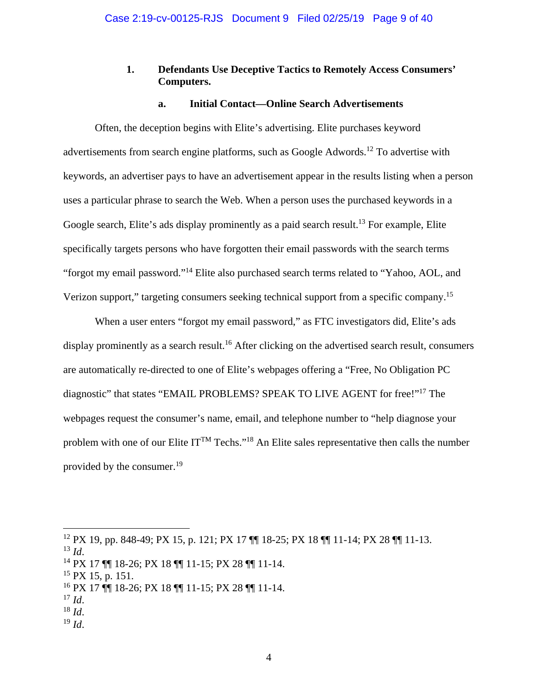# **1. Defendants Use Deceptive Tactics to Remotely Access Consumers' Computers.**

### **a. Initial Contact—Online Search Advertisements**

<span id="page-8-0"></span>Verizon support," targeting consumers seeking technical support from a specific company.<sup>15</sup> Often, the deception begins with Elite's advertising. Elite purchases keyword advertisements from search engine platforms, such as Google Adwords.12 To advertise with keywords, an advertiser pays to have an advertisement appear in the results listing when a person uses a particular phrase to search the Web. When a person uses the purchased keywords in a Google search, Elite's ads display prominently as a paid search result.<sup>13</sup> For example, Elite specifically targets persons who have forgotten their email passwords with the search terms "forgot my email password."14 Elite also purchased search terms related to "Yahoo, AOL, and

When a user enters "forgot my email password," as FTC investigators did, Elite's ads display prominently as a search result.<sup>16</sup> After clicking on the advertised search result, consumers are automatically re-directed to one of Elite's webpages offering a "Free, No Obligation PC diagnostic" that states "EMAIL PROBLEMS? SPEAK TO LIVE AGENT for free!"17 The webpages request the consumer's name, email, and telephone number to "help diagnose your problem with one of our Elite IT<sup>TM</sup> Techs."<sup>18</sup> An Elite sales representative then calls the number provided by the consumer.<sup>19</sup>

<sup>12</sup> PX 19, pp. 848-49; PX 15, p. 121; PX 17 ¶¶ 18-25; PX 18 ¶¶ 11-14; PX 28 ¶¶ 11-13.

<sup>13</sup>*Id*. 14 PX 17 ¶¶ 18-26; PX 18 ¶¶ 11-15; PX 28 ¶¶ 11-14.

 $15$  PX 15, p. 151.

<sup>&</sup>lt;sup>16</sup> PX 17 ¶¶ 18-26; PX 18 ¶¶ 11-15; PX 28 ¶¶ 11-14.<br><sup>17</sup> Id.

<sup>17</sup> *Id*. 18 *Id*. 19 *Id*.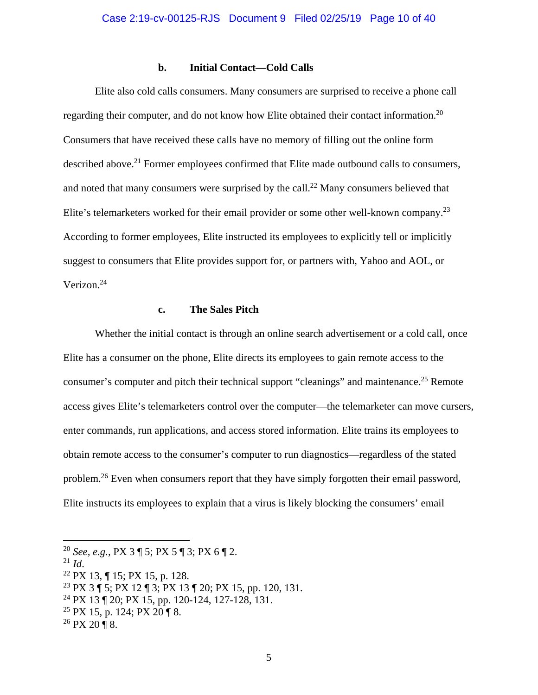### **b. Initial Contact—Cold Calls**

<span id="page-9-0"></span>Elite also cold calls consumers. Many consumers are surprised to receive a phone call regarding their computer, and do not know how Elite obtained their contact information.<sup>20</sup> Consumers that have received these calls have no memory of filling out the online form described above.<sup>21</sup> Former employees confirmed that Elite made outbound calls to consumers, and noted that many consumers were surprised by the call.<sup>22</sup> Many consumers believed that Elite's telemarketers worked for their email provider or some other well-known company.<sup>23</sup> According to former employees, Elite instructed its employees to explicitly tell or implicitly suggest to consumers that Elite provides support for, or partners with, Yahoo and AOL, or Verizon.24

# **c. The Sales Pitch**

Whether the initial contact is through an online search advertisement or a cold call, once Elite has a consumer on the phone, Elite directs its employees to gain remote access to the consumer's computer and pitch their technical support "cleanings" and maintenance.<sup>25</sup> Remote access gives Elite's telemarketers control over the computer—the telemarketer can move cursers, enter commands, run applications, and access stored information. Elite trains its employees to obtain remote access to the consumer's computer to run diagnostics—regardless of the stated problem.<sup>26</sup> Even when consumers report that they have simply forgotten their email password, Elite instructs its employees to explain that a virus is likely blocking the consumers' email

1

<sup>20</sup>*See, e.g.,* PX 3 ¶ 5; PX 5 ¶ 3; PX 6 ¶ 2.

<sup>&</sup>lt;sup>22</sup> PX 13, ¶ 15; PX 15, p. 128.

<sup>23</sup> PX 3 ¶ 5; PX 12 ¶ 3; PX 13 ¶ 20; PX 15, pp. 120, 131.

<sup>24</sup> PX 13 ¶ 20; PX 15, pp. 120-124, 127-128, 131.

<sup>&</sup>lt;sup>25</sup> PX 15, p. 124; PX 20 ¶ 8.

 $26$  PX 20 ¶ 8.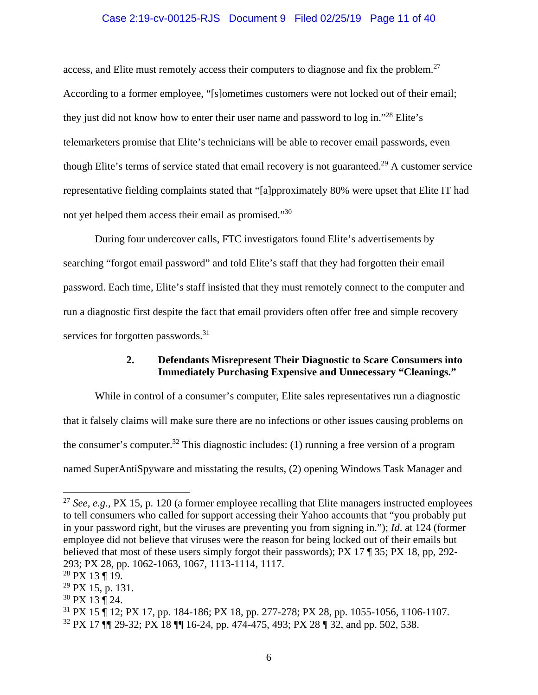# Case 2:19-cv-00125-RJS Document 9 Filed 02/25/19 Page 11 of 40

<span id="page-10-0"></span>access, and Elite must remotely access their computers to diagnose and fix the problem.<sup>27</sup> According to a former employee, "[s]ometimes customers were not locked out of their email; they just did not know how to enter their user name and password to log in."<sup>28</sup> Elite's telemarketers promise that Elite's technicians will be able to recover email passwords, even though Elite's terms of service stated that email recovery is not guaranteed.29 A customer service representative fielding complaints stated that "[a]pproximately 80% were upset that Elite IT had not yet helped them access their email as promised."30

During four undercover calls, FTC investigators found Elite's advertisements by searching "forgot email password" and told Elite's staff that they had forgotten their email password. Each time, Elite's staff insisted that they must remotely connect to the computer and run a diagnostic first despite the fact that email providers often offer free and simple recovery services for forgotten passwords.<sup>31</sup>

# **2. Defendants Misrepresent Their Diagnostic to Scare Consumers into Immediately Purchasing Expensive and Unnecessary "Cleanings."**

While in control of a consumer's computer, Elite sales representatives run a diagnostic that it falsely claims will make sure there are no infections or other issues causing problems on the consumer's computer.<sup>32</sup> This diagnostic includes: (1) running a free version of a program named SuperAntiSpyware and misstating the results, (2) opening Windows Task Manager and

1

 $27$  See, e.g., PX 15, p. 120 (a former employee recalling that Elite managers instructed employees to tell consumers who called for support accessing their Yahoo accounts that "you probably put in your password right, but the viruses are preventing you from signing in."); *Id*. at 124 (former employee did not believe that viruses were the reason for being locked out of their emails but believed that most of these users simply forgot their passwords); PX 17 ¶ 35; PX 18, pp, 292- 293; PX 28, pp. 1062-1063, 1067, 1113-1114, 1117.

<sup>28</sup> PX 13 ¶ 19.

 $^{29}$  PX 15, p. 131.

<sup>30</sup> PX 13 ¶ 24.

<sup>31</sup> PX 15 ¶ 12; PX 17, pp. 184-186; PX 18, pp. 277-278; PX 28, pp. 1055-1056, 1106-1107.

<sup>32</sup> PX 17 ¶¶ 29-32; PX 18 ¶¶ 16-24, pp. 474-475, 493; PX 28 ¶ 32, and pp. 502, 538.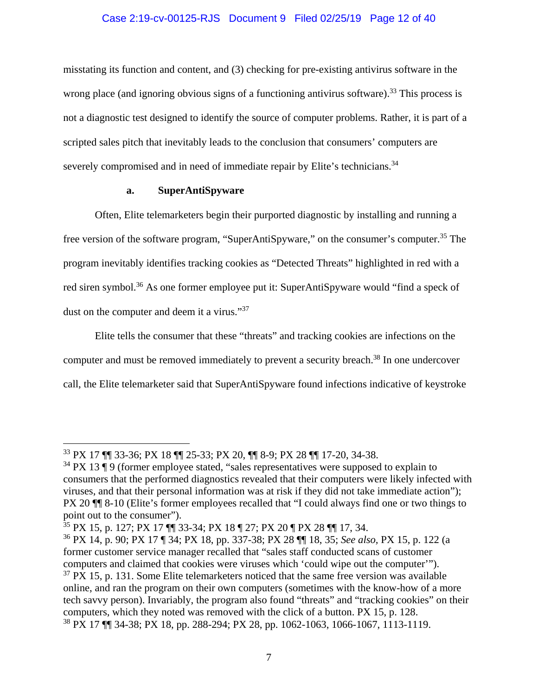# Case 2:19-cv-00125-RJS Document 9 Filed 02/25/19 Page 12 of 40

<span id="page-11-0"></span>severely compromised and in need of immediate repair by Elite's technicians.<sup>34</sup> misstating its function and content, and (3) checking for pre-existing antivirus software in the wrong place (and ignoring obvious signs of a functioning antivirus software).<sup>33</sup> This process is not a diagnostic test designed to identify the source of computer problems. Rather, it is part of a scripted sales pitch that inevitably leads to the conclusion that consumers' computers are

# **a. SuperAntiSpyware**

Often, Elite telemarketers begin their purported diagnostic by installing and running a free version of the software program, "SuperAntiSpyware," on the consumer's computer.35 The program inevitably identifies tracking cookies as "Detected Threats" highlighted in red with a red siren symbol.<sup>36</sup> As one former employee put it: SuperAntiSpyware would "find a speck of dust on the computer and deem it a virus."<sup>37</sup>

Elite tells the consumer that these "threats" and tracking cookies are infections on the computer and must be removed immediately to prevent a security breach.<sup>38</sup> In one undercover call, the Elite telemarketer said that SuperAntiSpyware found infections indicative of keystroke

<sup>33</sup> PX 17 ¶¶ 33-36; PX 18 ¶¶ 25-33; PX 20, ¶¶ 8-9; PX 28 ¶¶ 17-20, 34-38.

 $34$  PX 13 ¶ 9 (former employee stated, "sales representatives were supposed to explain to consumers that the performed diagnostics revealed that their computers were likely infected with viruses, and that their personal information was at risk if they did not take immediate action"); PX 20 ¶¶ 8-10 (Elite's former employees recalled that "I could always find one or two things to point out to the consumer").

<sup>35</sup> PX 15, p. 127; PX 17 ¶¶ 33-34; PX 18 ¶ 27; PX 20 ¶ PX 28 ¶¶ 17, 34.

<sup>36</sup> PX 14, p. 90; PX 17 ¶ 34; PX 18, pp. 337-38; PX 28 ¶¶ 18, 35; *See also,* PX 15, p. 122 (a former customer service manager recalled that "sales staff conducted scans of customer computers and claimed that cookies were viruses which 'could wipe out the computer'").  $37$  PX 15, p. 131. Some Elite telemarketers noticed that the same free version was available online, and ran the program on their own computers (sometimes with the know-how of a more tech savvy person). Invariably, the program also found "threats" and "tracking cookies" on their computers, which they noted was removed with the click of a button. PX 15, p. 128. 38 PX 17 ¶¶ 34-38; PX 18, pp. 288-294; PX 28, pp. 1062-1063, 1066-1067, 1113-1119.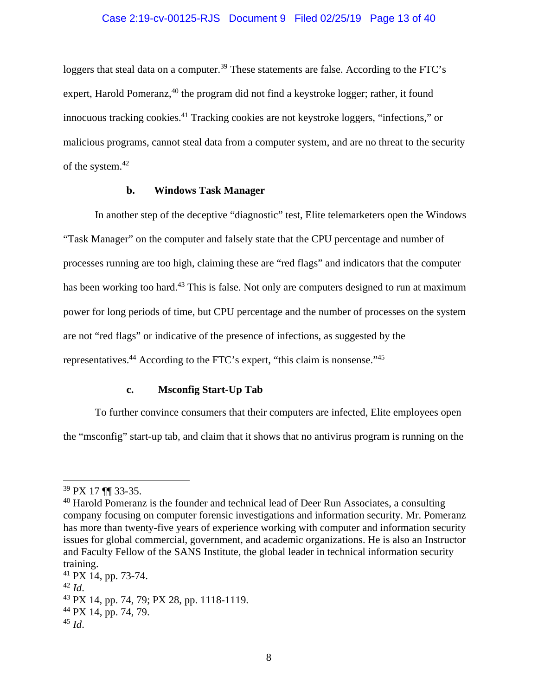### Case 2:19-cv-00125-RJS Document 9 Filed 02/25/19 Page 13 of 40

<span id="page-12-0"></span>loggers that steal data on a computer.<sup>39</sup> These statements are false. According to the FTC's expert, Harold Pomeranz, $40$  the program did not find a keystroke logger; rather, it found innocuous tracking cookies.41 Tracking cookies are not keystroke loggers, "infections," or malicious programs, cannot steal data from a computer system, and are no threat to the security of the system.<sup>42</sup>

# **b. Windows Task Manager**

In another step of the deceptive "diagnostic" test, Elite telemarketers open the Windows "Task Manager" on the computer and falsely state that the CPU percentage and number of processes running are too high, claiming these are "red flags" and indicators that the computer has been working too hard.<sup>43</sup> This is false. Not only are computers designed to run at maximum power for long periods of time, but CPU percentage and the number of processes on the system are not "red flags" or indicative of the presence of infections, as suggested by the representatives.44 According to the FTC's expert, "this claim is nonsense."45

# **c. Msconfig Start-Up Tab**

To further convince consumers that their computers are infected, Elite employees open the "msconfig" start-up tab, and claim that it shows that no antivirus program is running on the

1

<sup>39</sup> PX 17 ¶¶ 33-35.

<sup>&</sup>lt;sup>40</sup> Harold Pomeranz is the founder and technical lead of Deer Run Associates, a consulting company focusing on computer forensic investigations and information security. Mr. Pomeranz has more than twenty-five years of experience working with computer and information security issues for global commercial, government, and academic organizations. He is also an Instructor and Faculty Fellow of the SANS Institute, the global leader in technical information security training.

<sup>41</sup> PX 14, pp. 73-74.

<sup>42</sup>*Id*. 43 PX 14, pp. 74, 79; PX 28, pp. 1118-1119.

<sup>44</sup> PX 14, pp. 74, 79.

<sup>45</sup>*Id*.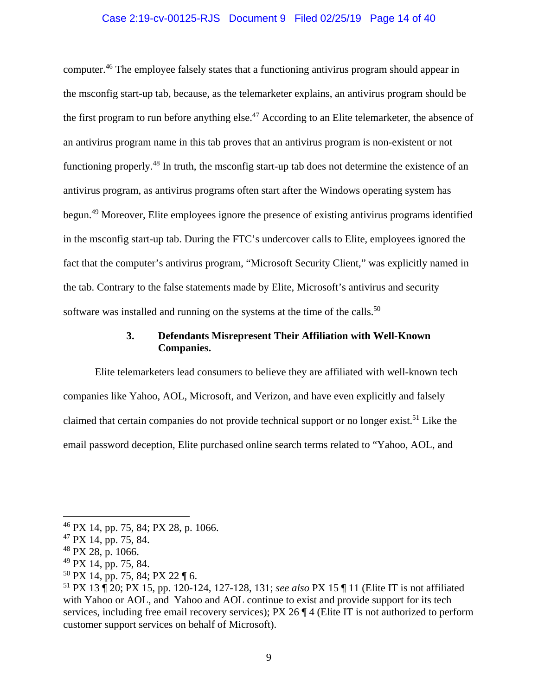### Case 2:19-cv-00125-RJS Document 9 Filed 02/25/19 Page 14 of 40

computer.46 The employee falsely states that a functioning antivirus program should appear in the msconfig start-up tab, because, as the telemarketer explains, an antivirus program should be the first program to run before anything else.<sup>47</sup> According to an Elite telemarketer, the absence of an antivirus program name in this tab proves that an antivirus program is non-existent or not functioning properly.48 In truth, the msconfig start-up tab does not determine the existence of an antivirus program, as antivirus programs often start after the Windows operating system has begun.49 Moreover, Elite employees ignore the presence of existing antivirus programs identified in the msconfig start-up tab. During the FTC's undercover calls to Elite, employees ignored the fact that the computer's antivirus program, "Microsoft Security Client," was explicitly named in the tab. Contrary to the false statements made by Elite, Microsoft's antivirus and security software was installed and running on the systems at the time of the calls.<sup>50</sup>

# **3. Defendants Misrepresent Their Affiliation with Well-Known Companies.**

Elite telemarketers lead consumers to believe they are affiliated with well-known tech companies like Yahoo, AOL, Microsoft, and Verizon, and have even explicitly and falsely claimed that certain companies do not provide technical support or no longer exist.<sup>51</sup> Like the email password deception, Elite purchased online search terms related to "Yahoo, AOL, and

<u>.</u>

 $46$  PX 14, pp. 75, 84; PX 28, p. 1066.

 $47$  PX 14, pp. 75, 84.

 $48$  PX 28, p. 1066.

<sup>49</sup> PX 14, pp. 75, 84.

 $50$  PX 14, pp. 75, 84; PX 22 ¶ 6.

<sup>51</sup> PX 13 ¶ 20; PX 15, pp. 120-124, 127-128, 131; *see also* PX 15 ¶ 11 (Elite IT is not affiliated with Yahoo or AOL, and Yahoo and AOL continue to exist and provide support for its tech services, including free email recovery services); PX 26  $\P$  4 (Elite IT is not authorized to perform customer support services on behalf of Microsoft).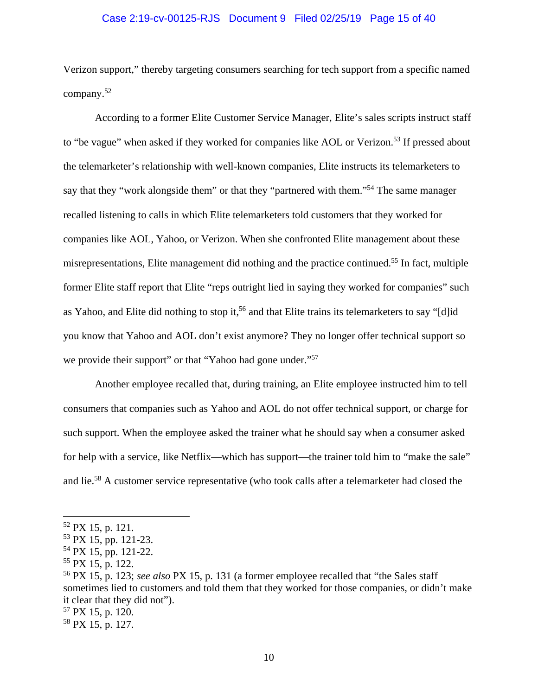#### Case 2:19-cv-00125-RJS Document 9 Filed 02/25/19 Page 15 of 40

Verizon support," thereby targeting consumers searching for tech support from a specific named company.<sup>52</sup>

According to a former Elite Customer Service Manager, Elite's sales scripts instruct staff to "be vague" when asked if they worked for companies like AOL or Verizon.<sup>53</sup> If pressed about the telemarketer's relationship with well-known companies, Elite instructs its telemarketers to say that they "work alongside them" or that they "partnered with them."<sup>54</sup> The same manager recalled listening to calls in which Elite telemarketers told customers that they worked for companies like AOL, Yahoo, or Verizon. When she confronted Elite management about these misrepresentations, Elite management did nothing and the practice continued.55 In fact, multiple former Elite staff report that Elite "reps outright lied in saying they worked for companies" such as Yahoo, and Elite did nothing to stop it,<sup>56</sup> and that Elite trains its telemarketers to say "[d]id you know that Yahoo and AOL don't exist anymore? They no longer offer technical support so we provide their support" or that "Yahoo had gone under."<sup>57</sup>

Another employee recalled that, during training, an Elite employee instructed him to tell consumers that companies such as Yahoo and AOL do not offer technical support, or charge for such support. When the employee asked the trainer what he should say when a consumer asked for help with a service, like Netflix—which has support—the trainer told him to "make the sale" and lie.58 A customer service representative (who took calls after a telemarketer had closed the

 $52$  PX 15, p. 121.

<sup>53</sup> PX 15, pp. 121-23.

<sup>54</sup> PX 15, pp. 121-22.

 $55$  PX 15, p. 122.

<sup>56</sup> PX 15, p. 123; *see also* PX 15, p. 131 (a former employee recalled that "the Sales staff sometimes lied to customers and told them that they worked for those companies, or didn't make it clear that they did not").

<sup>57</sup> PX 15, p. 120.

<sup>58</sup> PX 15, p. 127.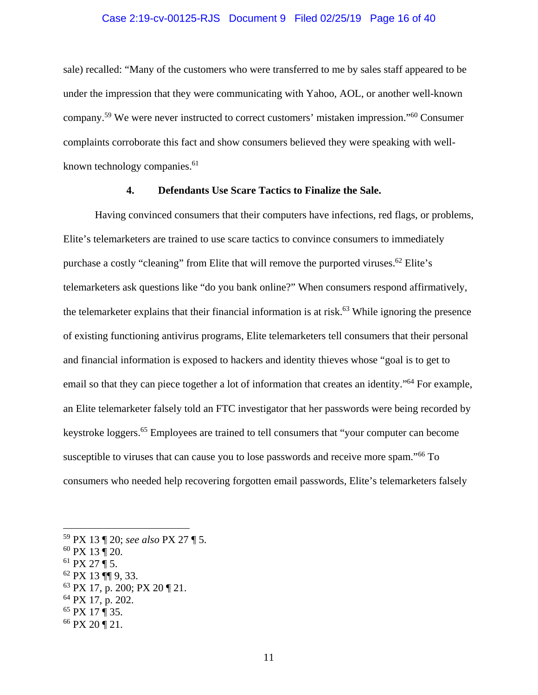#### Case 2:19-cv-00125-RJS Document 9 Filed 02/25/19 Page 16 of 40

<span id="page-15-0"></span>sale) recalled: "Many of the customers who were transferred to me by sales staff appeared to be under the impression that they were communicating with Yahoo, AOL, or another well-known company.59 We were never instructed to correct customers' mistaken impression."60 Consumer complaints corroborate this fact and show consumers believed they were speaking with wellknown technology companies. $61$ 

#### **4. Defendants Use Scare Tactics to Finalize the Sale.**

Having convinced consumers that their computers have infections, red flags, or problems, Elite's telemarketers are trained to use scare tactics to convince consumers to immediately purchase a costly "cleaning" from Elite that will remove the purported viruses.<sup>62</sup> Elite's telemarketers ask questions like "do you bank online?" When consumers respond affirmatively, the telemarketer explains that their financial information is at risk.<sup>63</sup> While ignoring the presence of existing functioning antivirus programs, Elite telemarketers tell consumers that their personal and financial information is exposed to hackers and identity thieves whose "goal is to get to email so that they can piece together a lot of information that creates an identity."<sup>64</sup> For example, an Elite telemarketer falsely told an FTC investigator that her passwords were being recorded by keystroke loggers.65 Employees are trained to tell consumers that "your computer can become susceptible to viruses that can cause you to lose passwords and receive more spam."<sup>66</sup> To consumers who needed help recovering forgotten email passwords, Elite's telemarketers falsely

- $61$  PX 27 ¶ 5.
- 62 PX 13 ¶¶ 9, 33.
- 63 PX 17, p. 200; PX 20 ¶ 21.
- 64 PX 17, p. 202.
- 65 PX 17 ¶ 35.
- 66 PX 20 ¶ 21.

<sup>59</sup> PX 13 ¶ 20; *see also* PX 27 ¶ 5.

<sup>60</sup> PX 13 ¶ 20.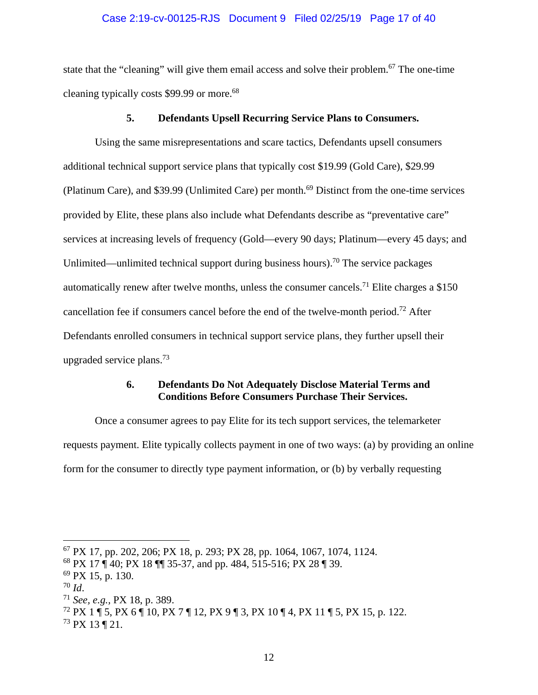#### Case 2:19-cv-00125-RJS Document 9 Filed 02/25/19 Page 17 of 40

<span id="page-16-0"></span>state that the "cleaning" will give them email access and solve their problem.<sup>67</sup> The one-time cleaning typically costs \$99.99 or more.<sup>68</sup>

#### **5. Defendants Upsell Recurring Service Plans to Consumers.**

Using the same misrepresentations and scare tactics, Defendants upsell consumers additional technical support service plans that typically cost \$19.99 (Gold Care), \$29.99 (Platinum Care), and \$39.99 (Unlimited Care) per month.<sup>69</sup> Distinct from the one-time services provided by Elite, these plans also include what Defendants describe as "preventative care" services at increasing levels of frequency (Gold—every 90 days; Platinum—every 45 days; and Unlimited—unlimited technical support during business hours).<sup>70</sup> The service packages automatically renew after twelve months, unless the consumer cancels.<sup>71</sup> Elite charges a \$150 cancellation fee if consumers cancel before the end of the twelve-month period.72 After Defendants enrolled consumers in technical support service plans, they further upsell their upgraded service plans.73

# **6. Defendants Do Not Adequately Disclose Material Terms and Conditions Before Consumers Purchase Their Services.**

Once a consumer agrees to pay Elite for its tech support services, the telemarketer requests payment. Elite typically collects payment in one of two ways: (a) by providing an online form for the consumer to directly type payment information, or (b) by verbally requesting

<sup>67</sup> PX 17, pp. 202, 206; PX 18, p. 293; PX 28, pp. 1064, 1067, 1074, 1124.

<sup>68</sup> PX 17 ¶ 40; PX 18 ¶¶ 35-37, and pp. 484, 515-516; PX 28 ¶ 39.

 $69$  PX 15, p. 130.

<sup>70</sup>*Id*. 71 *See, e.g.,* PX 18, p. 389.

<sup>72</sup> PX 1 ¶ 5, PX 6 ¶ 10, PX 7 ¶ 12, PX 9 ¶ 3, PX 10 ¶ 4, PX 11 ¶ 5, PX 15, p. 122.

 $^{73}$  PX 13 ¶ 21.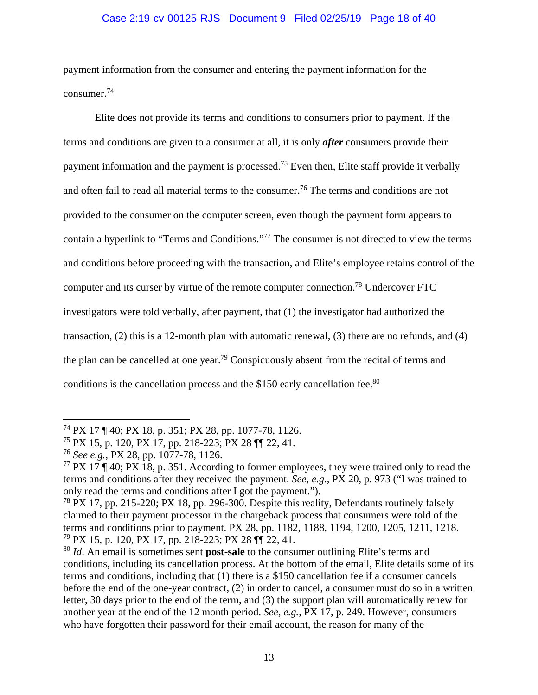# Case 2:19-cv-00125-RJS Document 9 Filed 02/25/19 Page 18 of 40

payment information from the consumer and entering the payment information for the consumer.<sup>74</sup>

Elite does not provide its terms and conditions to consumers prior to payment. If the terms and conditions are given to a consumer at all, it is only *after* consumers provide their payment information and the payment is processed.<sup>75</sup> Even then, Elite staff provide it verbally and often fail to read all material terms to the consumer.<sup>76</sup> The terms and conditions are not provided to the consumer on the computer screen, even though the payment form appears to contain a hyperlink to "Terms and Conditions."77 The consumer is not directed to view the terms and conditions before proceeding with the transaction, and Elite's employee retains control of the computer and its curser by virtue of the remote computer connection.78 Undercover FTC investigators were told verbally, after payment, that (1) the investigator had authorized the transaction, (2) this is a 12-month plan with automatic renewal, (3) there are no refunds, and (4) the plan can be cancelled at one year.79 Conspicuously absent from the recital of terms and conditions is the cancellation process and the \$150 early cancellation fee.<sup>80</sup>

<sup>74</sup> PX 17 ¶ 40; PX 18, p. 351; PX 28, pp. 1077-78, 1126.

<sup>75</sup> PX 15, p. 120, PX 17, pp. 218-223; PX 28 ¶¶ 22, 41.

<sup>76</sup>*See e.g.,* PX 28, pp. 1077-78, 1126.

<sup>&</sup>lt;sup>77</sup> PX 17 ¶ 40; PX 18, p. 351. According to former employees, they were trained only to read the terms and conditions after they received the payment. *See, e.g.,* PX 20, p. 973 ("I was trained to only read the terms and conditions after I got the payment.").

<sup>&</sup>lt;sup>78</sup> PX 17, pp. 215-220; PX 18, pp. 296-300. Despite this reality, Defendants routinely falsely claimed to their payment processor in the chargeback process that consumers were told of the terms and conditions prior to payment. PX 28, pp. 1182, 1188, 1194, 1200, 1205, 1211, 1218. 79 PX 15, p. 120, PX 17, pp. 218-223; PX 28 ¶¶ 22, 41.

<sup>80</sup>*Id*. An email is sometimes sent **post-sale** to the consumer outlining Elite's terms and conditions, including its cancellation process. At the bottom of the email, Elite details some of its terms and conditions, including that (1) there is a \$150 cancellation fee if a consumer cancels before the end of the one-year contract, (2) in order to cancel, a consumer must do so in a written letter, 30 days prior to the end of the term, and (3) the support plan will automatically renew for another year at the end of the 12 month period. *See, e.g.*, PX 17, p. 249. However, consumers who have forgotten their password for their email account, the reason for many of the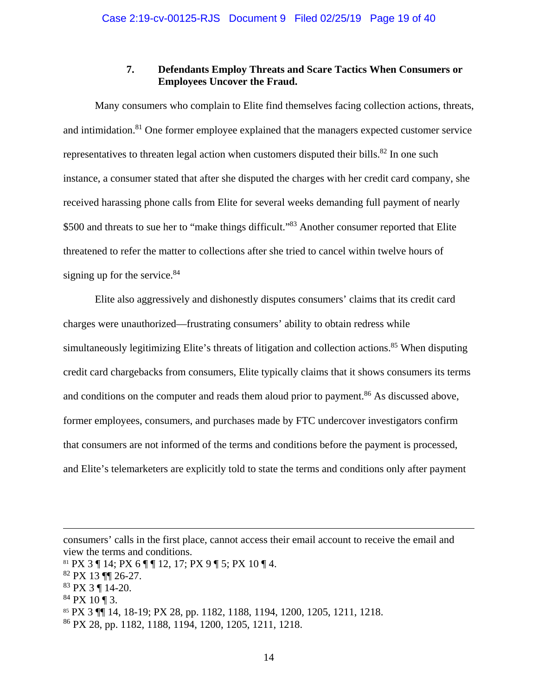# **7. Defendants Employ Threats and Scare Tactics When Consumers or Employees Uncover the Fraud.**

<span id="page-18-0"></span>Many consumers who complain to Elite find themselves facing collection actions, threats, and intimidation.<sup>81</sup> One former employee explained that the managers expected customer service representatives to threaten legal action when customers disputed their bills.<sup>82</sup> In one such instance, a consumer stated that after she disputed the charges with her credit card company, she received harassing phone calls from Elite for several weeks demanding full payment of nearly \$500 and threats to sue her to "make things difficult."<sup>83</sup> Another consumer reported that Elite threatened to refer the matter to collections after she tried to cancel within twelve hours of signing up for the service.<sup>84</sup>

Elite also aggressively and dishonestly disputes consumers' claims that its credit card charges were unauthorized—frustrating consumers' ability to obtain redress while simultaneously legitimizing Elite's threats of litigation and collection actions.<sup>85</sup> When disputing credit card chargebacks from consumers, Elite typically claims that it shows consumers its terms and conditions on the computer and reads them aloud prior to payment.<sup>86</sup> As discussed above, former employees, consumers, and purchases made by FTC undercover investigators confirm that consumers are not informed of the terms and conditions before the payment is processed, and Elite's telemarketers are explicitly told to state the terms and conditions only after payment

consumers' calls in the first place, cannot access their email account to receive the email and view the terms and conditions.

 $81$  PX 3 ¶ 14; PX 6 ¶ ¶ 12, 17; PX 9 ¶ 5; PX 10 ¶ 4.

<sup>82</sup> PX 13 ¶¶ 26-27.

<sup>83</sup> PX 3 ¶ 14-20.

 $84$  PX 10 | 3.

<sup>85</sup> PX 3 ¶¶ 14, 18-19; PX 28, pp. 1182, 1188, 1194, 1200, 1205, 1211, 1218.

<sup>86</sup> PX 28, pp. 1182, 1188, 1194, 1200, 1205, 1211, 1218.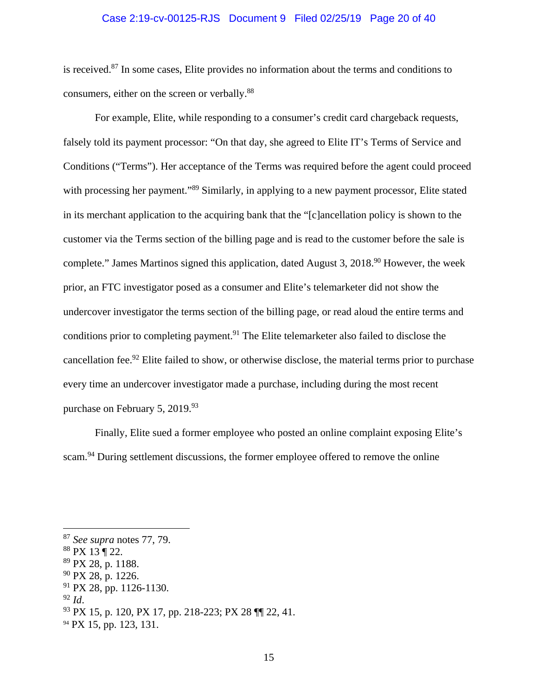#### Case 2:19-cv-00125-RJS Document 9 Filed 02/25/19 Page 20 of 40

is received.87 In some cases, Elite provides no information about the terms and conditions to consumers, either on the screen or verbally.<sup>88</sup>

For example, Elite, while responding to a consumer's credit card chargeback requests, falsely told its payment processor: "On that day, she agreed to Elite IT's Terms of Service and Conditions ("Terms"). Her acceptance of the Terms was required before the agent could proceed with processing her payment."<sup>89</sup> Similarly, in applying to a new payment processor, Elite stated in its merchant application to the acquiring bank that the "[c]ancellation policy is shown to the customer via the Terms section of the billing page and is read to the customer before the sale is complete." James Martinos signed this application, dated August 3,  $2018<sup>90</sup>$  However, the week prior, an FTC investigator posed as a consumer and Elite's telemarketer did not show the undercover investigator the terms section of the billing page, or read aloud the entire terms and conditions prior to completing payment.<sup>91</sup> The Elite telemarketer also failed to disclose the cancellation fee.<sup>92</sup> Elite failed to show, or otherwise disclose, the material terms prior to purchase every time an undercover investigator made a purchase, including during the most recent purchase on February 5, 2019.<sup>93</sup>

Finally, Elite sued a former employee who posted an online complaint exposing Elite's scam.<sup>94</sup> During settlement discussions, the former employee offered to remove the online

<sup>87</sup>*See supra* notes 77, 79.

<sup>88</sup> PX 13 ¶ 22.

 $89$  PX 28, p. 1188.

<sup>90</sup> PX 28, p. 1226.

 $91$  PX 28, pp. 1126-1130.

<sup>92</sup>*Id*. 93 PX 15, p. 120, PX 17, pp. 218-223; PX 28 ¶¶ 22, 41.

<sup>&</sup>lt;sup>94</sup> PX 15, pp. 123, 131.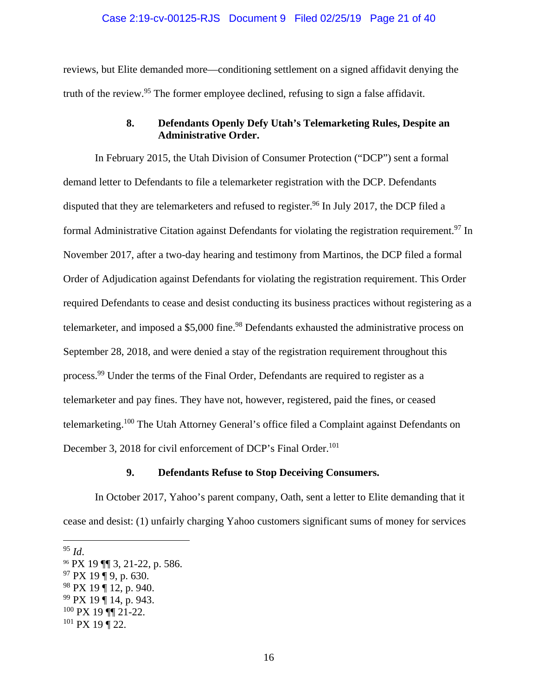#### Case 2:19-cv-00125-RJS Document 9 Filed 02/25/19 Page 21 of 40

<span id="page-20-0"></span>reviews, but Elite demanded more—conditioning settlement on a signed affidavit denying the truth of the review.<sup>95</sup> The former employee declined, refusing to sign a false affidavit.

### **8. Defendants Openly Defy Utah's Telemarketing Rules, Despite an Administrative Order.**

In February 2015, the Utah Division of Consumer Protection ("DCP") sent a formal demand letter to Defendants to file a telemarketer registration with the DCP. Defendants disputed that they are telemarketers and refused to register.<sup>96</sup> In July 2017, the DCP filed a formal Administrative Citation against Defendants for violating the registration requirement.<sup>97</sup> In November 2017, after a two-day hearing and testimony from Martinos, the DCP filed a formal Order of Adjudication against Defendants for violating the registration requirement. This Order required Defendants to cease and desist conducting its business practices without registering as a telemarketer, and imposed a \$5,000 fine.<sup>98</sup> Defendants exhausted the administrative process on September 28, 2018, and were denied a stay of the registration requirement throughout this process.<sup>99</sup> Under the terms of the Final Order, Defendants are required to register as a telemarketer and pay fines. They have not, however, registered, paid the fines, or ceased telemarketing.<sup>100</sup> The Utah Attorney General's office filed a Complaint against Defendants on December 3, 2018 for civil enforcement of DCP's Final Order.<sup>101</sup>

# **9. Defendants Refuse to Stop Deceiving Consumers.**

In October 2017, Yahoo's parent company, Oath, sent a letter to Elite demanding that it cease and desist: (1) unfairly charging Yahoo customers significant sums of money for services

<sup>95</sup>*Id*. 96 PX 19 ¶¶ 3, 21-22, p. 586.

 $97 \text{ PX } 19 \text{ µ } 9, \text{ p. } 630.$ 

 $98$  PX 19 ¶ 12, p. 940.

<sup>99</sup> PX 19 ¶ 14, p. 943.

 $100$  PX 19 ¶¶ 21-22.

 $101$  PX 19 ¶ 22.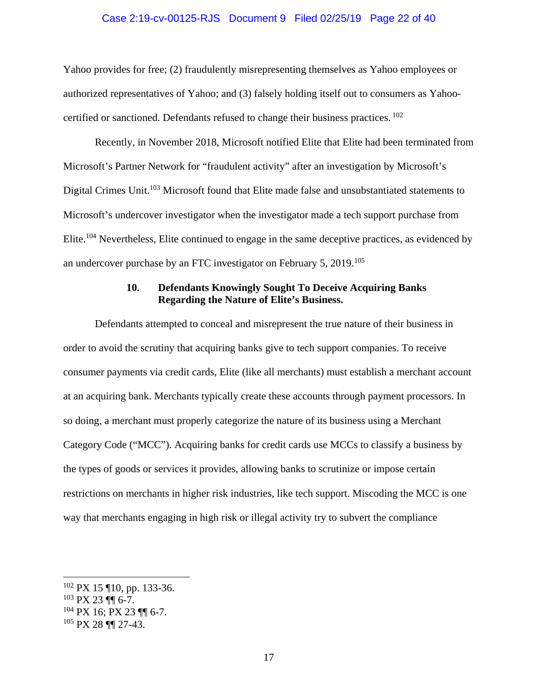#### Case 2:19-cv-00125-RJS Document 9 Filed 02/25/19 Page 22 of 40

<span id="page-21-0"></span>Yahoo provides for free; (2) fraudulently misrepresenting themselves as Yahoo employees or authorized representatives of Yahoo; and (3) falsely holding itself out to consumers as Yahoocertified or sanctioned. Defendants refused to change their business practices. 102

Recently, in November 2018, Microsoft notified Elite that Elite had been terminated from Microsoft's Partner Network for "fraudulent activity" after an investigation by Microsoft's Digital Crimes Unit.<sup>103</sup> Microsoft found that Elite made false and unsubstantiated statements to Microsoft's undercover investigator when the investigator made a tech support purchase from Elite.104 Nevertheless, Elite continued to engage in the same deceptive practices, as evidenced by an undercover purchase by an FTC investigator on February 5, 2019.<sup>105</sup>

# **10. Defendants Knowingly Sought To Deceive Acquiring Banks Regarding the Nature of Elite's Business.**

Defendants attempted to conceal and misrepresent the true nature of their business in order to avoid the scrutiny that acquiring banks give to tech support companies. To receive consumer payments via credit cards, Elite (like all merchants) must establish a merchant account at an acquiring bank. Merchants typically create these accounts through payment processors. In so doing, a merchant must properly categorize the nature of its business using a Merchant Category Code ("MCC"). Acquiring banks for credit cards use MCCs to classify a business by the types of goods or services it provides, allowing banks to scrutinize or impose certain restrictions on merchants in higher risk industries, like tech support. Miscoding the MCC is one way that merchants engaging in high risk or illegal activity try to subvert the compliance

<u>.</u>

<sup>102</sup> PX 15 ¶10, pp. 133-36.

<sup>103</sup> PX 23 ¶¶ 6-7.

 $104$  PX 16; PX 23  $\P$  6-7.

<sup>105</sup> PX 28 ¶¶ 27-43.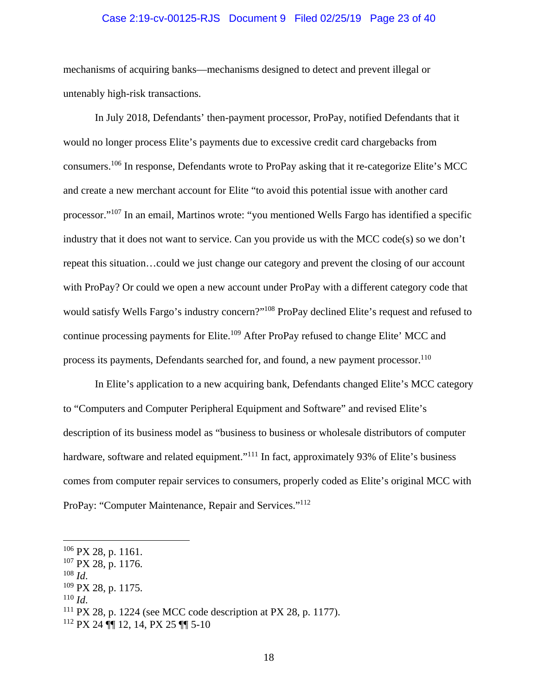#### Case 2:19-cv-00125-RJS Document 9 Filed 02/25/19 Page 23 of 40

mechanisms of acquiring banks—mechanisms designed to detect and prevent illegal or untenably high-risk transactions.

process its payments, Defendants searched for, and found, a new payment processor.<sup>110</sup> In July 2018, Defendants' then-payment processor, ProPay, notified Defendants that it would no longer process Elite's payments due to excessive credit card chargebacks from consumers.106 In response, Defendants wrote to ProPay asking that it re-categorize Elite's MCC and create a new merchant account for Elite "to avoid this potential issue with another card processor."107 In an email, Martinos wrote: "you mentioned Wells Fargo has identified a specific industry that it does not want to service. Can you provide us with the MCC code(s) so we don't repeat this situation…could we just change our category and prevent the closing of our account with ProPay? Or could we open a new account under ProPay with a different category code that would satisfy Wells Fargo's industry concern?"108 ProPay declined Elite's request and refused to continue processing payments for Elite.<sup>109</sup> After ProPay refused to change Elite' MCC and

In Elite's application to a new acquiring bank, Defendants changed Elite's MCC category to "Computers and Computer Peripheral Equipment and Software" and revised Elite's description of its business model as "business to business or wholesale distributors of computer hardware, software and related equipment."<sup>111</sup> In fact, approximately 93% of Elite's business comes from computer repair services to consumers, properly coded as Elite's original MCC with ProPay: "Computer Maintenance, Repair and Services."112

<sup>106</sup> PX 28, p. 1161.

 $107$  PX 28, p. 1176.

<sup>&</sup>lt;sup>108</sup> *Id.* <sup>109</sup> PX 28, p. 1175.

<sup>&</sup>lt;sup>110</sup> *Id.* 111 PX 28, p. 1224 (see MCC code description at PX 28, p. 1177).

 $112$  PX 24 ¶ 12, 14, PX 25 ¶ 5-10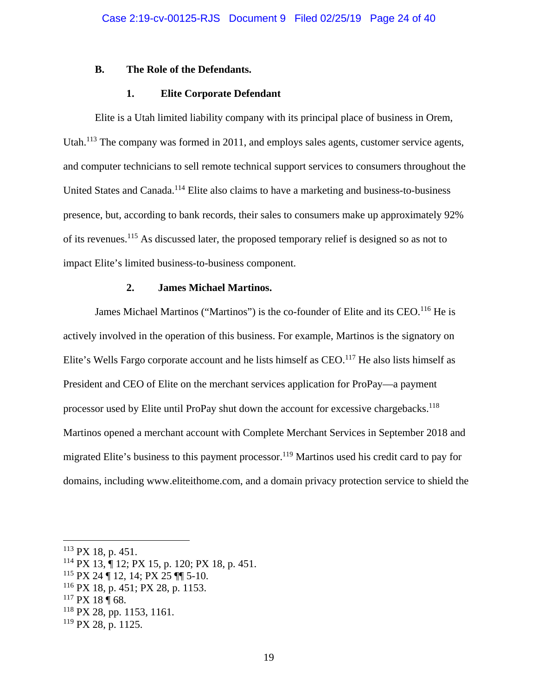#### <span id="page-23-0"></span>**B. The Role of the Defendants.**

### **1. Elite Corporate Defendant**

Elite is a Utah limited liability company with its principal place of business in Orem, Utah.<sup>113</sup> The company was formed in 2011, and employs sales agents, customer service agents, and computer technicians to sell remote technical support services to consumers throughout the United States and Canada.<sup>114</sup> Elite also claims to have a marketing and business-to-business presence, but, according to bank records, their sales to consumers make up approximately 92% of its revenues.<sup>115</sup> As discussed later, the proposed temporary relief is designed so as not to impact Elite's limited business-to-business component.

#### **2. James Michael Martinos.**

James Michael Martinos ("Martinos") is the co-founder of Elite and its CEO.<sup>116</sup> He is actively involved in the operation of this business. For example, Martinos is the signatory on Elite's Wells Fargo corporate account and he lists himself as CEO.<sup>117</sup> He also lists himself as President and CEO of Elite on the merchant services application for ProPay—a payment processor used by Elite until ProPay shut down the account for excessive chargebacks.<sup>118</sup> Martinos opened a merchant account with Complete Merchant Services in September 2018 and migrated Elite's business to this payment processor.<sup>119</sup> Martinos used his credit card to pay for domains, including www.eliteithome.com, and a domain privacy protection service to shield the

1

<sup>113</sup> PX 18, p. 451.

<sup>114</sup> PX 13, ¶ 12; PX 15, p. 120; PX 18, p. 451.

 $115$  PX 24 ¶ 12, 14; PX 25 ¶¶ 5-10.

<sup>116</sup> PX 18, p. 451; PX 28, p. 1153.

 $117$  PX 18  $\P$  68.

<sup>118</sup> PX 28, pp. 1153, 1161.

 $119$  PX 28, p. 1125.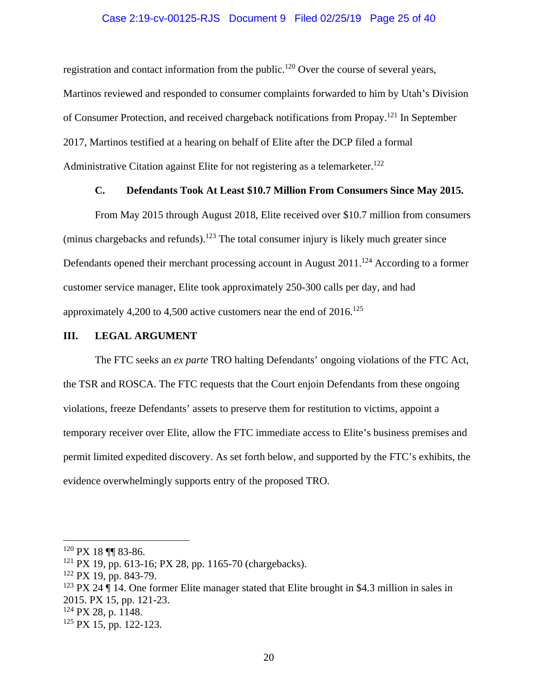#### Case 2:19-cv-00125-RJS Document 9 Filed 02/25/19 Page 25 of 40

<span id="page-24-0"></span>Administrative Citation against Elite for not registering as a telemarketer.<sup>122</sup> registration and contact information from the public.<sup>120</sup> Over the course of several years, Martinos reviewed and responded to consumer complaints forwarded to him by Utah's Division of Consumer Protection, and received chargeback notifications from Propay.121 In September 2017, Martinos testified at a hearing on behalf of Elite after the DCP filed a formal

### **C. Defendants Took At Least \$10.7 Million From Consumers Since May 2015.**

From May 2015 through August 2018, Elite received over \$10.7 million from consumers (minus chargebacks and refunds).<sup>123</sup> The total consumer injury is likely much greater since Defendants opened their merchant processing account in August  $2011$ .<sup>124</sup> According to a former customer service manager, Elite took approximately 250-300 calls per day, and had approximately 4,200 to 4,500 active customers near the end of  $2016$ <sup>125</sup>

#### **III. LEGAL ARGUMENT**

The FTC seeks an *ex parte* TRO halting Defendants' ongoing violations of the FTC Act, the TSR and ROSCA. The FTC requests that the Court enjoin Defendants from these ongoing violations, freeze Defendants' assets to preserve them for restitution to victims, appoint a temporary receiver over Elite, allow the FTC immediate access to Elite's business premises and permit limited expedited discovery. As set forth below, and supported by the FTC's exhibits, the evidence overwhelmingly supports entry of the proposed TRO.

 $\overline{a}$ 

<sup>123</sup> PX 24  $\P$  14. One former Elite manager stated that Elite brought in \$4.3 million in sales in 2015. PX 15, pp. 121-23.

 $120$  PX 18 ¶¶ 83-86.

<sup>121</sup> PX 19, pp. 613-16; PX 28, pp. 1165-70 (chargebacks).

 $122$  PX 19, pp. 843-79.

<sup>124</sup> PX 28, p. 1148.

<sup>125</sup> PX 15, pp. 122-123.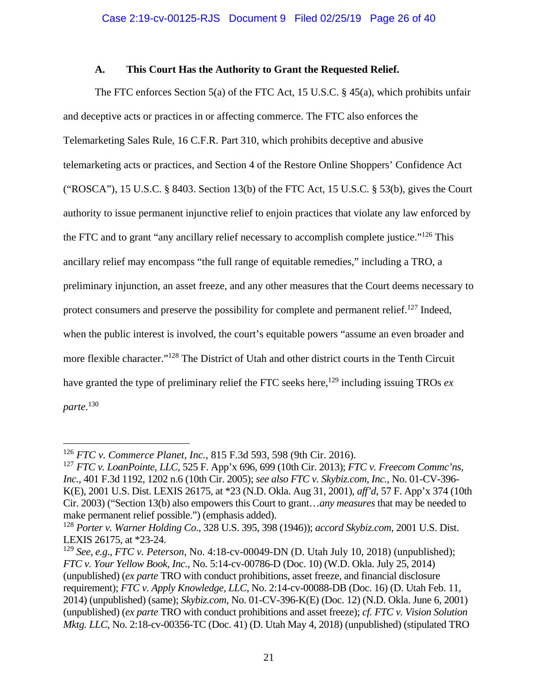# **A. This Court Has the Authority to Grant the Requested Relief.**

<span id="page-25-0"></span>The FTC enforces Section 5(a) of the FTC Act, 15 U.S.C. § 45(a), which prohibits unfair and deceptive acts or practices in or affecting commerce. The FTC also enforces the Telemarketing Sales Rule, 16 C.F.R. Part 310, which prohibits deceptive and abusive telemarketing acts or practices, and Section 4 of the Restore Online Shoppers' Confidence Act ("ROSCA"), 15 U.S.C. § 8403. Section 13(b) of the FTC Act, 15 U.S.C. § 53(b), gives the Court authority to issue permanent injunctive relief to enjoin practices that violate any law enforced by the FTC and to grant "any ancillary relief necessary to accomplish complete justice."126 This ancillary relief may encompass "the full range of equitable remedies," including a TRO, a preliminary injunction, an asset freeze, and any other measures that the Court deems necessary to protect consumers and preserve the possibility for complete and permanent relief.<sup>127</sup> Indeed, when the public interest is involved, the court's equitable powers "assume an even broader and more flexible character."128 The District of Utah and other district courts in the Tenth Circuit have granted the type of preliminary relief the FTC seeks here,<sup>129</sup> including issuing TROs  $ex$ *parte*. 130

<sup>126</sup>*FTC v. Commerce Planet, Inc.*, 815 F.3d 593, 598 (9th Cir. 2016).

<sup>127</sup>*FTC v. LoanPointe, LLC*, 525 F. App'x 696, 699 (10th Cir. 2013); *FTC v. Freecom Commc'ns, Inc.*, 401 F.3d 1192, 1202 n.6 (10th Cir. 2005); *see also FTC v. Skybiz.com, Inc.*, No. 01-CV-396- K(E), 2001 U.S. Dist. LEXIS 26175, at \*23 (N.D. Okla. Aug 31, 2001), *aff'd*, 57 F. App'x 374 (10th Cir. 2003) ("Section 13(b) also empowers this Court to grant…*any measures* that may be needed to make permanent relief possible.") (emphasis added).

<sup>128</sup>*Porter v. Warner Holding Co*., 328 U.S. 395, 398 (1946)); *accord Skybiz.com*, 2001 U.S. Dist. LEXIS 26175, at \*23-24.

<sup>129</sup>*See, e.g*., *FTC v. Peterson*, No. 4:18-cv-00049-DN (D. Utah July 10, 2018) (unpublished); *FTC v. Your Yellow Book, Inc.,* No. 5:14-cv-00786-D (Doc. 10) (W.D. Okla. July 25, 2014) (unpublished) (*ex parte* TRO with conduct prohibitions, asset freeze, and financial disclosure requirement); *FTC v. Apply Knowledge, LLC*, No. 2:14-cv-00088-DB (Doc. 16) (D. Utah Feb. 11, 2014) (unpublished) (same); *Skybiz.com,* No. 01-CV-396-K(E) (Doc. 12) (N.D. Okla. June 6, 2001) (unpublished) (*ex parte* TRO with conduct prohibitions and asset freeze); *cf. FTC v. Vision Solution Mktg. LLC*, No. 2:18-cv-00356-TC (Doc. 41) (D. Utah May 4, 2018) (unpublished) (stipulated TRO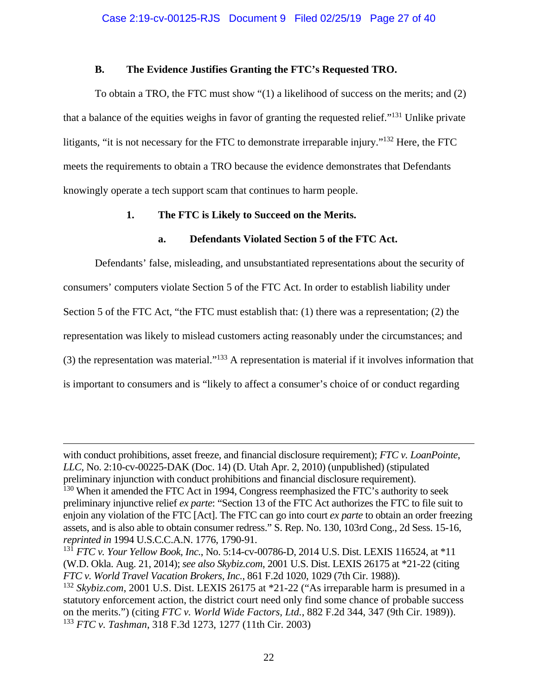### **B. The Evidence Justifies Granting the FTC's Requested TRO.**

<span id="page-26-0"></span>To obtain a TRO, the FTC must show "(1) a likelihood of success on the merits; and (2) that a balance of the equities weighs in favor of granting the requested relief."131 Unlike private litigants, "it is not necessary for the FTC to demonstrate irreparable injury."<sup>132</sup> Here, the FTC meets the requirements to obtain a TRO because the evidence demonstrates that Defendants knowingly operate a tech support scam that continues to harm people.

# **1. The FTC is Likely to Succeed on the Merits.**

# **a. Defendants Violated Section 5 of the FTC Act.**

Defendants' false, misleading, and unsubstantiated representations about the security of consumers' computers violate Section 5 of the FTC Act. In order to establish liability under Section 5 of the FTC Act, "the FTC must establish that: (1) there was a representation; (2) the representation was likely to mislead customers acting reasonably under the circumstances; and (3) the representation was material."133 A representation is material if it involves information that is important to consumers and is "likely to affect a consumer's choice of or conduct regarding

<u>.</u>

with conduct prohibitions, asset freeze, and financial disclosure requirement); *FTC v. LoanPointe*, *LLC*, No. 2:10-cv-00225-DAK (Doc. 14) (D. Utah Apr. 2, 2010) (unpublished) (stipulated preliminary injunction with conduct prohibitions and financial disclosure requirement).

<sup>&</sup>lt;sup>130</sup> When it amended the FTC Act in 1994, Congress reemphasized the FTC's authority to seek preliminary injunctive relief *ex parte*: "Section 13 of the FTC Act authorizes the FTC to file suit to enjoin any violation of the FTC [Act]. The FTC can go into court *ex parte* to obtain an order freezing assets, and is also able to obtain consumer redress." S. Rep. No. 130, 103rd Cong., 2d Sess. 15-16, *reprinted in* 1994 U.S.C.C.A.N. 1776, 1790-91.

<sup>131</sup>*FTC v. Your Yellow Book, Inc.*, No. 5:14-cv-00786-D, 2014 U.S. Dist. LEXIS 116524, at \*11 (W.D. Okla. Aug. 21, 2014); *see also Skybiz.com*, 2001 U.S. Dist. LEXIS 26175 at \*21-22 (citing *FTC v. World Travel Vacation Brokers, Inc.*, 861 F.2d 1020, 1029 (7th Cir. 1988)).

<sup>132</sup>*Skybiz.com*, 2001 U.S. Dist. LEXIS 26175 at \*21-22 ("As irreparable harm is presumed in a statutory enforcement action, the district court need only find some chance of probable success on the merits.") (citing *FTC v. World Wide Factors, Ltd.*, 882 F.2d 344, 347 (9th Cir. 1989)). <sup>133</sup>*FTC v. Tashman*, 318 F.3d 1273, 1277 (11th Cir. 2003)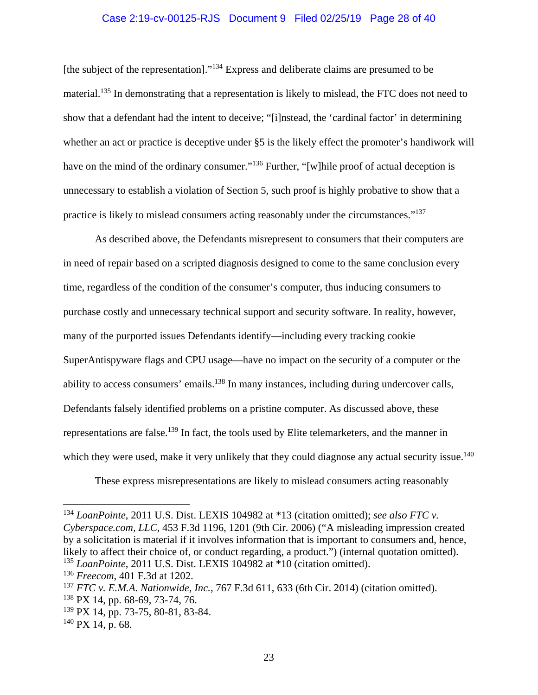#### Case 2:19-cv-00125-RJS Document 9 Filed 02/25/19 Page 28 of 40

<span id="page-27-0"></span>[the subject of the representation]."134 Express and deliberate claims are presumed to be material.<sup>135</sup> In demonstrating that a representation is likely to mislead, the FTC does not need to show that a defendant had the intent to deceive; "[i]nstead, the 'cardinal factor' in determining whether an act or practice is deceptive under  $\S 5$  is the likely effect the promoter's handiwork will have on the mind of the ordinary consumer."<sup>136</sup> Further, "[w]hile proof of actual deception is unnecessary to establish a violation of Section 5, such proof is highly probative to show that a practice is likely to mislead consumers acting reasonably under the circumstances."<sup>137</sup>

which they were used, make it very unlikely that they could diagnose any actual security issue.<sup>140</sup> As described above, the Defendants misrepresent to consumers that their computers are in need of repair based on a scripted diagnosis designed to come to the same conclusion every time, regardless of the condition of the consumer's computer, thus inducing consumers to purchase costly and unnecessary technical support and security software. In reality, however, many of the purported issues Defendants identify—including every tracking cookie SuperAntispyware flags and CPU usage—have no impact on the security of a computer or the ability to access consumers' emails.<sup>138</sup> In many instances, including during undercover calls, Defendants falsely identified problems on a pristine computer. As discussed above, these representations are false.<sup>139</sup> In fact, the tools used by Elite telemarketers, and the manner in

These express misrepresentations are likely to mislead consumers acting reasonably

<u>.</u>

<sup>134</sup>*LoanPointe*, 2011 U.S. Dist. LEXIS 104982 at \*13 (citation omitted); *see also FTC v.* 

*Cyberspace.com, LLC*, 453 F.3d 1196, 1201 (9th Cir. 2006) ("A misleading impression created by a solicitation is material if it involves information that is important to consumers and, hence, likely to affect their choice of, or conduct regarding, a product.") (internal quotation omitted).

<sup>135</sup>*LoanPointe*, 2011 U.S. Dist. LEXIS 104982 at \*10 (citation omitted).

<sup>136</sup>*Freecom*, 401 F.3d at 1202.

<sup>137</sup>*FTC v. E.M.A. Nationwide, Inc.*, 767 F.3d 611, 633 (6th Cir. 2014) (citation omitted).

<sup>138</sup> PX 14, pp. 68-69, 73-74, 76.

<sup>139</sup> PX 14, pp. 73-75, 80-81, 83-84.

 $140$  PX 14, p. 68.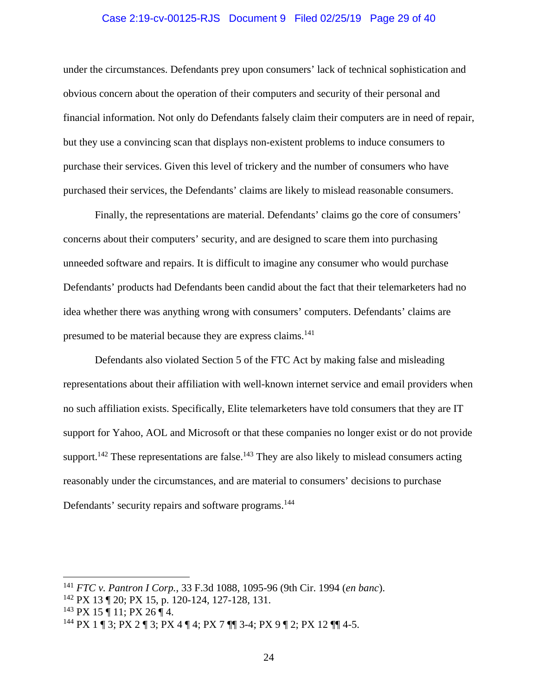#### Case 2:19-cv-00125-RJS Document 9 Filed 02/25/19 Page 29 of 40

<span id="page-28-0"></span>under the circumstances. Defendants prey upon consumers' lack of technical sophistication and obvious concern about the operation of their computers and security of their personal and financial information. Not only do Defendants falsely claim their computers are in need of repair, but they use a convincing scan that displays non-existent problems to induce consumers to purchase their services. Given this level of trickery and the number of consumers who have purchased their services, the Defendants' claims are likely to mislead reasonable consumers.

presumed to be material because they are express claims.<sup>141</sup> Finally, the representations are material. Defendants' claims go the core of consumers' concerns about their computers' security, and are designed to scare them into purchasing unneeded software and repairs. It is difficult to imagine any consumer who would purchase Defendants' products had Defendants been candid about the fact that their telemarketers had no idea whether there was anything wrong with consumers' computers. Defendants' claims are

Defendants also violated Section 5 of the FTC Act by making false and misleading representations about their affiliation with well-known internet service and email providers when no such affiliation exists. Specifically, Elite telemarketers have told consumers that they are IT support for Yahoo, AOL and Microsoft or that these companies no longer exist or do not provide support.<sup>142</sup> These representations are false.<sup>143</sup> They are also likely to mislead consumers acting reasonably under the circumstances, and are material to consumers' decisions to purchase Defendants' security repairs and software programs.<sup>144</sup>

<sup>141</sup>*FTC v. Pantron I Corp.*, 33 F.3d 1088, 1095-96 (9th Cir. 1994 (*en banc*).

<sup>142</sup> PX 13 ¶ 20; PX 15, p. 120-124, 127-128, 131.

 $143$  PX 15 ¶ 11; PX 26 ¶ 4.

<sup>&</sup>lt;sup>144</sup> PX 1 ¶ 3; PX 2 ¶ 3; PX 4 ¶ 4; PX 7 ¶¶ 3-4; PX 9 ¶ 2; PX 12 ¶¶ 4-5.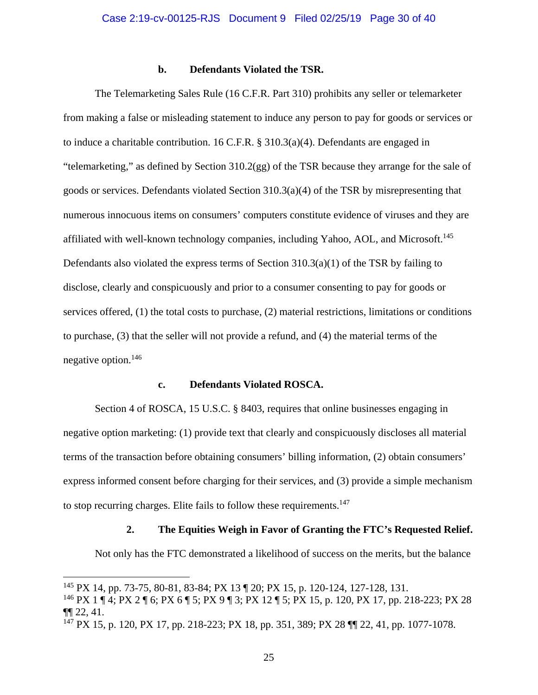#### **b. Defendants Violated the TSR.**

<span id="page-29-0"></span>The Telemarketing Sales Rule (16 C.F.R. Part 310) prohibits any seller or telemarketer from making a false or misleading statement to induce any person to pay for goods or services or to induce a charitable contribution. 16 C.F.R. § 310.3(a)(4). Defendants are engaged in "telemarketing," as defined by Section 310.2(gg) of the TSR because they arrange for the sale of goods or services. Defendants violated Section 310.3(a)(4) of the TSR by misrepresenting that numerous innocuous items on consumers' computers constitute evidence of viruses and they are affiliated with well-known technology companies, including Yahoo, AOL, and Microsoft.<sup>145</sup> Defendants also violated the express terms of Section 310.3(a)(1) of the TSR by failing to disclose, clearly and conspicuously and prior to a consumer consenting to pay for goods or services offered, (1) the total costs to purchase, (2) material restrictions, limitations or conditions to purchase, (3) that the seller will not provide a refund, and (4) the material terms of the negative option.146

#### **c. Defendants Violated ROSCA.**

to stop recurring charges. Elite fails to follow these requirements.<sup>147</sup> Section 4 of ROSCA, 15 U.S.C. § 8403, requires that online businesses engaging in negative option marketing: (1) provide text that clearly and conspicuously discloses all material terms of the transaction before obtaining consumers' billing information, (2) obtain consumers' express informed consent before charging for their services, and (3) provide a simple mechanism

#### **2. The Equities Weigh in Favor of Granting the FTC's Requested Relief.**

Not only has the FTC demonstrated a likelihood of success on the merits, but the balance

<u>.</u>

<sup>145</sup> PX 14, pp. 73-75, 80-81, 83-84; PX 13 ¶ 20; PX 15, p. 120-124, 127-128, 131.

<sup>146</sup> PX 1 ¶ 4; PX 2 ¶ 6; PX 6 ¶ 5; PX 9 ¶ 3; PX 12 ¶ 5; PX 15, p. 120, PX 17, pp. 218-223; PX 28 ¶¶ 22, 41.

<sup>147</sup> PX 15, p. 120, PX 17, pp. 218-223; PX 18, pp. 351, 389; PX 28 ¶¶ 22, 41, pp. 1077-1078.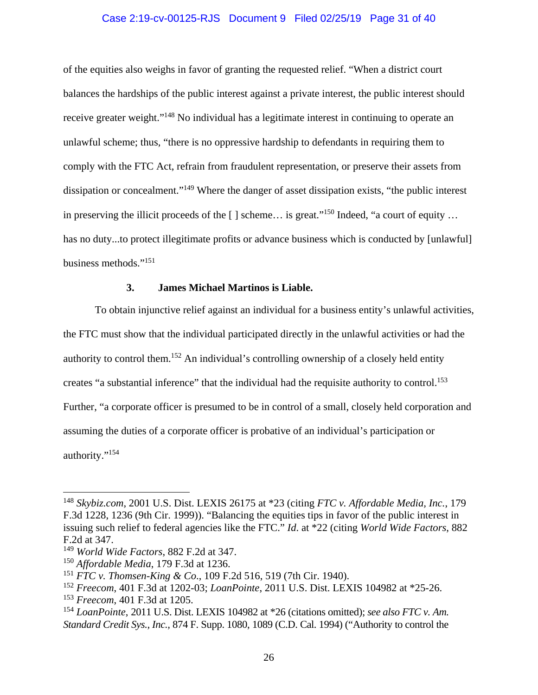### Case 2:19-cv-00125-RJS Document 9 Filed 02/25/19 Page 31 of 40

<span id="page-30-0"></span>of the equities also weighs in favor of granting the requested relief. "When a district court balances the hardships of the public interest against a private interest, the public interest should receive greater weight."148 No individual has a legitimate interest in continuing to operate an unlawful scheme; thus, "there is no oppressive hardship to defendants in requiring them to comply with the FTC Act, refrain from fraudulent representation, or preserve their assets from dissipation or concealment."149 Where the danger of asset dissipation exists, "the public interest in preserving the illicit proceeds of the  $\lceil \cdot \rceil$  scheme... is great."<sup>150</sup> Indeed, "a court of equity ... has no duty...to protect illegitimate profits or advance business which is conducted by [unlawful] business methods."151

### **3. James Michael Martinos is Liable.**

To obtain injunctive relief against an individual for a business entity's unlawful activities, the FTC must show that the individual participated directly in the unlawful activities or had the authority to control them.<sup>152</sup> An individual's controlling ownership of a closely held entity creates "a substantial inference" that the individual had the requisite authority to control.<sup>153</sup> Further, "a corporate officer is presumed to be in control of a small, closely held corporation and assuming the duties of a corporate officer is probative of an individual's participation or authority."154

<sup>148</sup>*Skybiz.com*, 2001 U.S. Dist. LEXIS 26175 at \*23 (citing *FTC v. Affordable Media, Inc.*, 179 F.3d 1228, 1236 (9th Cir. 1999)). "Balancing the equities tips in favor of the public interest in issuing such relief to federal agencies like the FTC." *Id*. at \*22 (citing *World Wide Factors*, 882 F.2d at 347.

<sup>149</sup>*World Wide Factors*, 882 F.2d at 347.

<sup>150</sup>*Affordable Media*, 179 F.3d at 1236.

<sup>151</sup>*FTC v. Thomsen-King & Co*., 109 F.2d 516, 519 (7th Cir. 1940).

<sup>152</sup>*Freecom*, 401 F.3d at 1202-03; *LoanPointe*, 2011 U.S. Dist. LEXIS 104982 at \*25-26.

<sup>153</sup>*Freecom*, 401 F.3d at 1205.

<sup>154</sup>*LoanPointe*, 2011 U.S. Dist. LEXIS 104982 at \*26 (citations omitted); *see also FTC v. Am. Standard Credit Sys., Inc.,* 874 F. Supp. 1080, 1089 (C.D. Cal. 1994) ("Authority to control the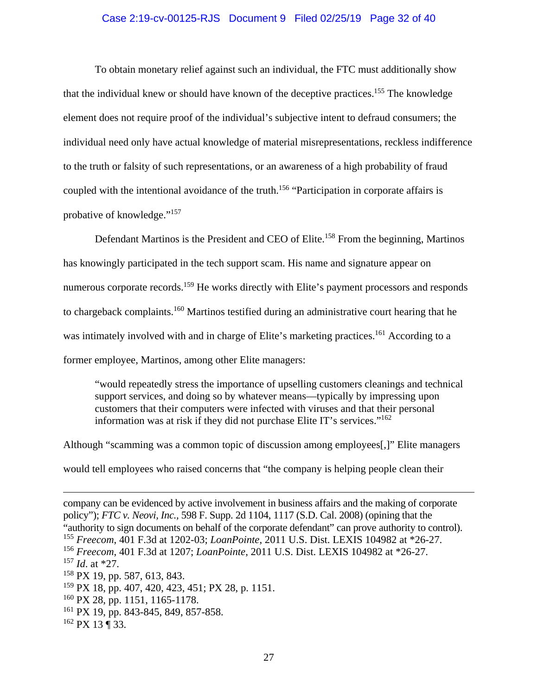#### Case 2:19-cv-00125-RJS Document 9 Filed 02/25/19 Page 32 of 40

<span id="page-31-0"></span>To obtain monetary relief against such an individual, the FTC must additionally show that the individual knew or should have known of the deceptive practices.<sup>155</sup> The knowledge element does not require proof of the individual's subjective intent to defraud consumers; the individual need only have actual knowledge of material misrepresentations, reckless indifference to the truth or falsity of such representations, or an awareness of a high probability of fraud coupled with the intentional avoidance of the truth.<sup>156</sup> "Participation in corporate affairs is probative of knowledge."157

Defendant Martinos is the President and CEO of Elite.<sup>158</sup> From the beginning, Martinos has knowingly participated in the tech support scam. His name and signature appear on numerous corporate records.<sup>159</sup> He works directly with Elite's payment processors and responds to chargeback complaints.160 Martinos testified during an administrative court hearing that he was intimately involved with and in charge of Elite's marketing practices.<sup>161</sup> According to a former employee, Martinos, among other Elite managers:

information was at risk if they did not purchase Elite IT's services."<sup>162</sup> "would repeatedly stress the importance of upselling customers cleanings and technical support services, and doing so by whatever means—typically by impressing upon customers that their computers were infected with viruses and that their personal

Although "scamming was a common topic of discussion among employees[,]" Elite managers would tell employees who raised concerns that "the company is helping people clean their

- $160$  PX 28, pp. 1151, 1165-1178.
- <sup>161</sup> PX 19, pp. 843-845, 849, 857-858.
- $162$  PX 13 ¶ 33.

 $\overline{a}$ company can be evidenced by active involvement in business affairs and the making of corporate policy"); *FTC v. Neovi, Inc.,* 598 F. Supp. 2d 1104, 1117 (S.D. Cal. 2008) (opining that the "authority to sign documents on behalf of the corporate defendant" can prove authority to control). <sup>155</sup>*Freecom*, 401 F.3d at 1202-03; *LoanPointe*, 2011 U.S. Dist. LEXIS 104982 at \*26-27.

<sup>156</sup>*Freecom*, 401 F.3d at 1207; *LoanPointe*, 2011 U.S. Dist. LEXIS 104982 at \*26-27.

<sup>157</sup>*Id*. at \*27.

<sup>158</sup> PX 19, pp. 587, 613, 843.

<sup>159</sup> PX 18, pp. 407, 420, 423, 451; PX 28, p. 1151.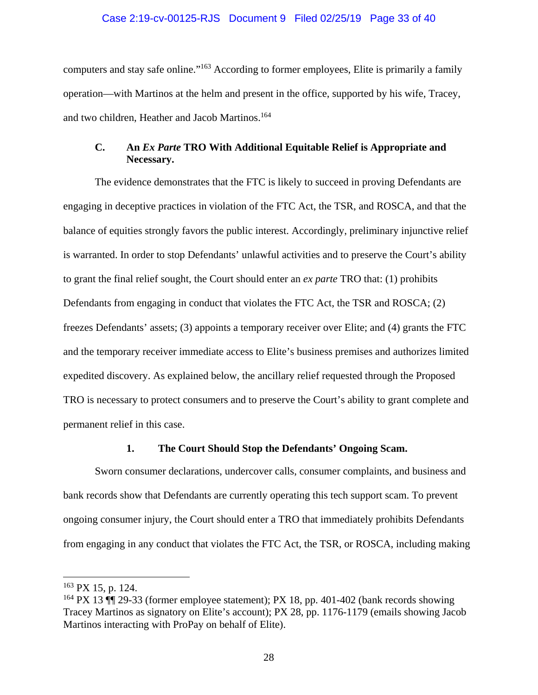### Case 2:19-cv-00125-RJS Document 9 Filed 02/25/19 Page 33 of 40

<span id="page-32-0"></span>computers and stay safe online."163 According to former employees, Elite is primarily a family operation—with Martinos at the helm and present in the office, supported by his wife, Tracey, and two children, Heather and Jacob Martinos.<sup>164</sup>

# **C. An** *Ex Parte* **TRO With Additional Equitable Relief is Appropriate and Necessary.**

The evidence demonstrates that the FTC is likely to succeed in proving Defendants are engaging in deceptive practices in violation of the FTC Act, the TSR, and ROSCA, and that the balance of equities strongly favors the public interest. Accordingly, preliminary injunctive relief is warranted. In order to stop Defendants' unlawful activities and to preserve the Court's ability to grant the final relief sought, the Court should enter an *ex parte* TRO that: (1) prohibits Defendants from engaging in conduct that violates the FTC Act, the TSR and ROSCA; (2) freezes Defendants' assets; (3) appoints a temporary receiver over Elite; and (4) grants the FTC and the temporary receiver immediate access to Elite's business premises and authorizes limited expedited discovery. As explained below, the ancillary relief requested through the Proposed TRO is necessary to protect consumers and to preserve the Court's ability to grant complete and permanent relief in this case.

### **1. The Court Should Stop the Defendants' Ongoing Scam.**

Sworn consumer declarations, undercover calls, consumer complaints, and business and bank records show that Defendants are currently operating this tech support scam. To prevent ongoing consumer injury, the Court should enter a TRO that immediately prohibits Defendants from engaging in any conduct that violates the FTC Act, the TSR, or ROSCA, including making

 $163$  PX 15, p. 124.

<sup>&</sup>lt;sup>164</sup> PX 13  $\P$  29-33 (former employee statement); PX 18, pp. 401-402 (bank records showing Tracey Martinos as signatory on Elite's account); PX 28, pp. 1176-1179 (emails showing Jacob Martinos interacting with ProPay on behalf of Elite).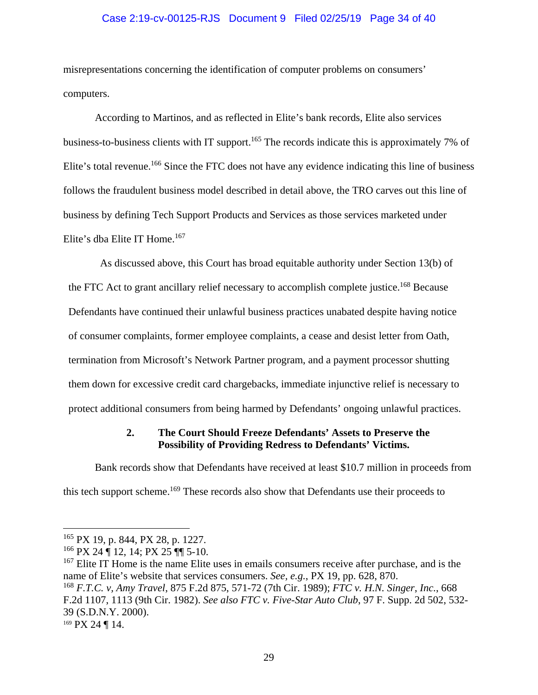### Case 2:19-cv-00125-RJS Document 9 Filed 02/25/19 Page 34 of 40

<span id="page-33-0"></span>misrepresentations concerning the identification of computer problems on consumers' computers.

Elite's dba Elite IT Home.<sup>167</sup> According to Martinos, and as reflected in Elite's bank records, Elite also services business-to-business clients with IT support.<sup>165</sup> The records indicate this is approximately 7% of Elite's total revenue.<sup>166</sup> Since the FTC does not have any evidence indicating this line of business follows the fraudulent business model described in detail above, the TRO carves out this line of business by defining Tech Support Products and Services as those services marketed under

As discussed above, this Court has broad equitable authority under Section 13(b) of the FTC Act to grant ancillary relief necessary to accomplish complete justice.<sup>168</sup> Because Defendants have continued their unlawful business practices unabated despite having notice of consumer complaints, former employee complaints, a cease and desist letter from Oath, termination from Microsoft's Network Partner program, and a payment processor shutting them down for excessive credit card chargebacks, immediate injunctive relief is necessary to protect additional consumers from being harmed by Defendants' ongoing unlawful practices.

### **2. The Court Should Freeze Defendants' Assets to Preserve the Possibility of Providing Redress to Defendants' Victims.**

Bank records show that Defendants have received at least \$10.7 million in proceeds from this tech support scheme.<sup>169</sup> These records also show that Defendants use their proceeds to

<sup>&</sup>lt;sup>165</sup> PX 19, p. 844, PX 28, p. 1227.

 $166$  PX 24  $\P$  12, 14; PX 25  $\P$  5-10.

<sup>&</sup>lt;sup>167</sup> Elite IT Home is the name Elite uses in emails consumers receive after purchase, and is the name of Elite's website that services consumers. *See, e.g.*, PX 19, pp. 628, 870.

 <sup>168</sup>*F.T.C. v, Amy Travel*, 875 F.2d 875, 571-72 (7th Cir. 1989); *FTC v. H.N. Singer*, *Inc.*, 668 F.2d 1107, 1113 (9th Cir. 1982). *See also FTC v. Five-Star Auto Club*, 97 F. Supp. 2d 502, 532- 39 (S.D.N.Y. 2000).

<sup>169</sup> PX 24 ¶ 14.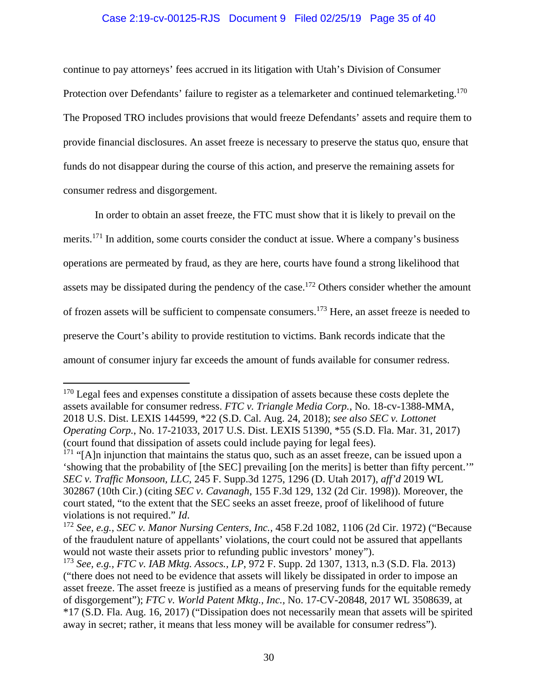### Case 2:19-cv-00125-RJS Document 9 Filed 02/25/19 Page 35 of 40

<span id="page-34-0"></span>continue to pay attorneys' fees accrued in its litigation with Utah's Division of Consumer Protection over Defendants' failure to register as a telemarketer and continued telemarketing.<sup>170</sup> The Proposed TRO includes provisions that would freeze Defendants' assets and require them to provide financial disclosures. An asset freeze is necessary to preserve the status quo, ensure that funds do not disappear during the course of this action, and preserve the remaining assets for consumer redress and disgorgement.

In order to obtain an asset freeze, the FTC must show that it is likely to prevail on the merits.<sup>171</sup> In addition, some courts consider the conduct at issue. Where a company's business operations are permeated by fraud, as they are here, courts have found a strong likelihood that assets may be dissipated during the pendency of the case.<sup>172</sup> Others consider whether the amount of frozen assets will be sufficient to compensate consumers.173 Here, an asset freeze is needed to preserve the Court's ability to provide restitution to victims. Bank records indicate that the amount of consumer injury far exceeds the amount of funds available for consumer redress.

<u>.</u>

 $170$  Legal fees and expenses constitute a dissipation of assets because these costs deplete the assets available for consumer redress. *FTC v. Triangle Media Corp.*, No. 18-cv-1388-MMA, 2018 U.S. Dist. LEXIS 144599, \*22 (S.D. Cal. Aug. 24, 2018); *see also SEC v. Lottonet Operating Corp.*, No. 17-21033, 2017 U.S. Dist. LEXIS 51390, \*55 (S.D. Fla. Mar. 31, 2017) (court found that dissipation of assets could include paying for legal fees).

 $171$  "[A]n injunction that maintains the status quo, such as an asset freeze, can be issued upon a 'showing that the probability of [the SEC] prevailing [on the merits] is better than fifty percent.'" *SEC v. Traffic Monsoon, LLC*, 245 F. Supp.3d 1275, 1296 (D. Utah 2017), *aff'd* 2019 WL 302867 (10th Cir.) (citing *SEC v. Cavanagh*, 155 F.3d 129, 132 (2d Cir. 1998)). Moreover, the court stated, "to the extent that the SEC seeks an asset freeze, proof of likelihood of future violations is not required." *Id. Id.* 172 *See, e.g., SEC v. Manor Nursing Centers, Inc.,* 458 F.2d 1082, 1106 (2d Cir. 1972) ("Because

of the fraudulent nature of appellants' violations, the court could not be assured that appellants would not waste their assets prior to refunding public investors' money").

<sup>173</sup>*See, e.g., FTC v. IAB Mktg. Assocs., LP*, 972 F. Supp. 2d 1307, 1313, n.3 (S.D. Fla. 2013) ("there does not need to be evidence that assets will likely be dissipated in order to impose an asset freeze. The asset freeze is justified as a means of preserving funds for the equitable remedy of disgorgement"); *FTC v. World Patent Mktg., Inc.,* No. 17-CV-20848, 2017 WL 3508639, at \*17 (S.D. Fla. Aug. 16, 2017) ("Dissipation does not necessarily mean that assets will be spirited away in secret; rather, it means that less money will be available for consumer redress").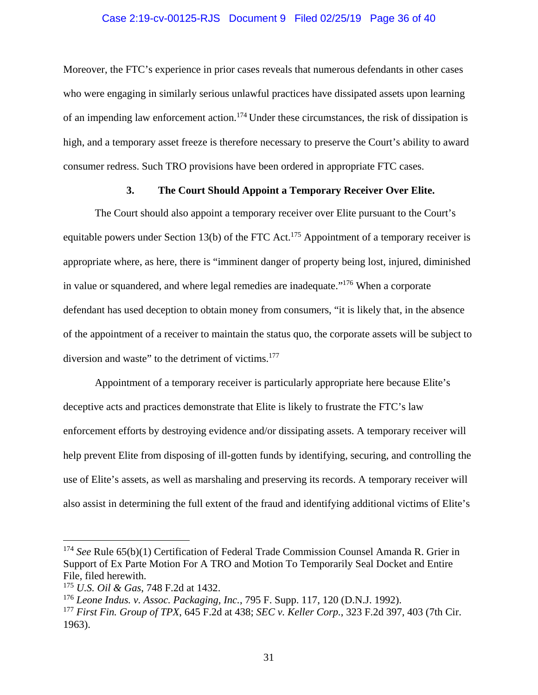#### Case 2:19-cv-00125-RJS Document 9 Filed 02/25/19 Page 36 of 40

<span id="page-35-0"></span>Moreover, the FTC's experience in prior cases reveals that numerous defendants in other cases who were engaging in similarly serious unlawful practices have dissipated assets upon learning of an impending law enforcement action.<sup>174</sup> Under these circumstances, the risk of dissipation is high, and a temporary asset freeze is therefore necessary to preserve the Court's ability to award consumer redress. Such TRO provisions have been ordered in appropriate FTC cases.

### **3. The Court Should Appoint a Temporary Receiver Over Elite.**

diversion and waste" to the detriment of victims.<sup>177</sup> The Court should also appoint a temporary receiver over Elite pursuant to the Court's equitable powers under Section 13(b) of the FTC Act.<sup>175</sup> Appointment of a temporary receiver is appropriate where, as here, there is "imminent danger of property being lost, injured, diminished in value or squandered, and where legal remedies are inadequate."176 When a corporate defendant has used deception to obtain money from consumers, "it is likely that, in the absence of the appointment of a receiver to maintain the status quo, the corporate assets will be subject to

Appointment of a temporary receiver is particularly appropriate here because Elite's deceptive acts and practices demonstrate that Elite is likely to frustrate the FTC's law enforcement efforts by destroying evidence and/or dissipating assets. A temporary receiver will help prevent Elite from disposing of ill-gotten funds by identifying, securing, and controlling the use of Elite's assets, as well as marshaling and preserving its records. A temporary receiver will also assist in determining the full extent of the fraud and identifying additional victims of Elite's

<sup>174</sup>*See* Rule 65(b)(1) Certification of Federal Trade Commission Counsel Amanda R. Grier in Support of Ex Parte Motion For A TRO and Motion To Temporarily Seal Docket and Entire File, filed herewith.

<sup>175</sup>*U.S. Oil & Gas*, 748 F.2d at 1432.

<sup>176</sup>*Leone Indus. v. Assoc. Packaging, Inc.*, 795 F. Supp. 117, 120 (D.N.J. 1992).

<sup>177</sup>*First Fin. Group of TPX*, 645 F.2d at 438; *SEC v. Keller Corp.*, 323 F.2d 397, 403 (7th Cir. 1963).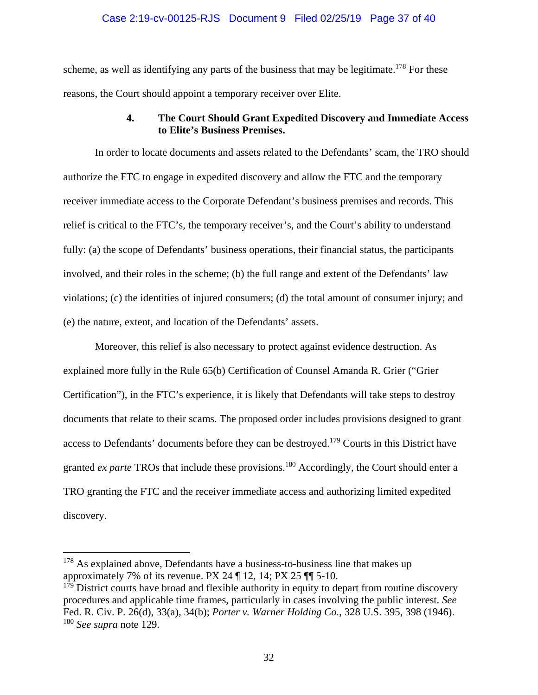### Case 2:19-cv-00125-RJS Document 9 Filed 02/25/19 Page 37 of 40

<span id="page-36-0"></span>scheme, as well as identifying any parts of the business that may be legitimate.<sup>178</sup> For these reasons, the Court should appoint a temporary receiver over Elite.

### **4. The Court Should Grant Expedited Discovery and Immediate Access to Elite's Business Premises.**

In order to locate documents and assets related to the Defendants' scam, the TRO should authorize the FTC to engage in expedited discovery and allow the FTC and the temporary receiver immediate access to the Corporate Defendant's business premises and records. This relief is critical to the FTC's, the temporary receiver's, and the Court's ability to understand fully: (a) the scope of Defendants' business operations, their financial status, the participants involved, and their roles in the scheme; (b) the full range and extent of the Defendants' law violations; (c) the identities of injured consumers; (d) the total amount of consumer injury; and (e) the nature, extent, and location of the Defendants' assets.

Moreover, this relief is also necessary to protect against evidence destruction. As explained more fully in the Rule 65(b) Certification of Counsel Amanda R. Grier ("Grier Certification"), in the FTC's experience, it is likely that Defendants will take steps to destroy documents that relate to their scams. The proposed order includes provisions designed to grant access to Defendants' documents before they can be destroyed.<sup>179</sup> Courts in this District have granted *ex parte* TROs that include these provisions.<sup>180</sup> Accordingly, the Court should enter a TRO granting the FTC and the receiver immediate access and authorizing limited expedited discovery.

1

<sup>&</sup>lt;sup>178</sup> As explained above, Defendants have a business-to-business line that makes up approximately 7% of its revenue. PX 24  $\P$  12, 14; PX 25  $\P$  $\P$  5-10.

 $179$  District courts have broad and flexible authority in equity to depart from routine discovery procedures and applicable time frames, particularly in cases involving the public interest. *See*  Fed. R. Civ. P. 26(d), 33(a), 34(b); *Porter v. Warner Holding Co.*, 328 U.S. 395, 398 (1946). <sup>180</sup>*See supra* note 129.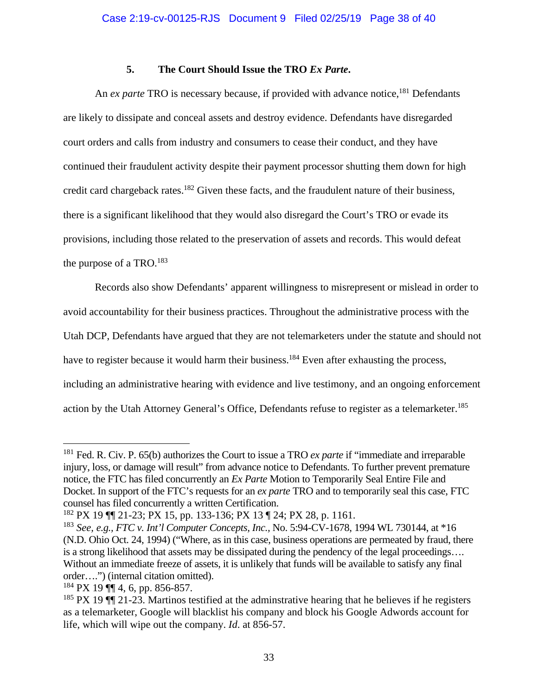# **5. The Court Should Issue the TRO** *Ex Parte***.**

<span id="page-37-0"></span>An *ex parte* TRO is necessary because, if provided with advance notice,<sup>181</sup> Defendants are likely to dissipate and conceal assets and destroy evidence. Defendants have disregarded court orders and calls from industry and consumers to cease their conduct, and they have continued their fraudulent activity despite their payment processor shutting them down for high credit card chargeback rates.<sup>182</sup> Given these facts, and the fraudulent nature of their business, there is a significant likelihood that they would also disregard the Court's TRO or evade its provisions, including those related to the preservation of assets and records. This would defeat the purpose of a TRO.<sup>183</sup>

action by the Utah Attorney General's Office, Defendants refuse to register as a telemarketer.<sup>185</sup> Records also show Defendants' apparent willingness to misrepresent or mislead in order to avoid accountability for their business practices. Throughout the administrative process with the Utah DCP, Defendants have argued that they are not telemarketers under the statute and should not have to register because it would harm their business.<sup>184</sup> Even after exhausting the process, including an administrative hearing with evidence and live testimony, and an ongoing enforcement

<u>.</u>

<sup>181</sup> Fed. R. Civ. P. 65(b) authorizes the Court to issue a TRO *ex parte* if "immediate and irreparable injury, loss, or damage will result" from advance notice to Defendants. To further prevent premature notice, the FTC has filed concurrently an *Ex Parte* Motion to Temporarily Seal Entire File and Docket. In support of the FTC's requests for an *ex parte* TRO and to temporarily seal this case, FTC counsel has filed concurrently a written Certification.

<sup>182</sup> PX 19 ¶¶ 21-23; PX 15, pp. 133-136; PX 13 ¶ 24; PX 28, p. 1161.

<sup>183</sup>*See, e.g., FTC v. Int'l Computer Concepts, Inc.,* No. 5:94-CV-1678, 1994 WL 730144, at \*16 (N.D. Ohio Oct. 24, 1994) ("Where, as in this case, business operations are permeated by fraud, there is a strong likelihood that assets may be dissipated during the pendency of the legal proceedings…. Without an immediate freeze of assets, it is unlikely that funds will be available to satisfy any final order….") (internal citation omitted).

 $184$  PX 19 ¶ 4, 6, pp. 856-857.

<sup>&</sup>lt;sup>185</sup> PX 19  $\P$  21-23. Martinos testified at the adminstrative hearing that he believes if he registers as a telemarketer, Google will blacklist his company and block his Google Adwords account for life, which will wipe out the company. *Id*. at 856-57.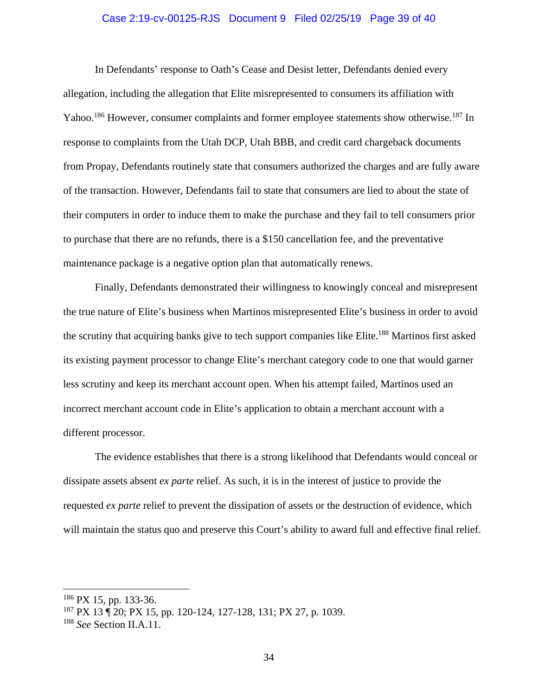#### Case 2:19-cv-00125-RJS Document 9 Filed 02/25/19 Page 39 of 40

In Defendants' response to Oath's Cease and Desist letter, Defendants denied every allegation, including the allegation that Elite misrepresented to consumers its affiliation with Yahoo.<sup>186</sup> However, consumer complaints and former employee statements show otherwise.<sup>187</sup> In response to complaints from the Utah DCP, Utah BBB, and credit card chargeback documents from Propay, Defendants routinely state that consumers authorized the charges and are fully aware of the transaction. However, Defendants fail to state that consumers are lied to about the state of their computers in order to induce them to make the purchase and they fail to tell consumers prior to purchase that there are no refunds, there is a \$150 cancellation fee, and the preventative maintenance package is a negative option plan that automatically renews.

Finally, Defendants demonstrated their willingness to knowingly conceal and misrepresent the true nature of Elite's business when Martinos misrepresented Elite's business in order to avoid the scrutiny that acquiring banks give to tech support companies like Elite.<sup>188</sup> Martinos first asked its existing payment processor to change Elite's merchant category code to one that would garner less scrutiny and keep its merchant account open. When his attempt failed, Martinos used an incorrect merchant account code in Elite's application to obtain a merchant account with a different processor.

will maintain the status quo and preserve this Court's ability to award full and effective final relief.<br><sup>186</sup> PX 15, pp. 133-36. The evidence establishes that there is a strong likelihood that Defendants would conceal or dissipate assets absent *ex parte* relief. As such, it is in the interest of justice to provide the requested *ex parte* relief to prevent the dissipation of assets or the destruction of evidence, which

1

<sup>187</sup> PX 13 ¶ 20; PX 15, pp. 120-124, 127-128, 131; PX 27, p. 1039.

<sup>188</sup>*See* Section II.A.11.